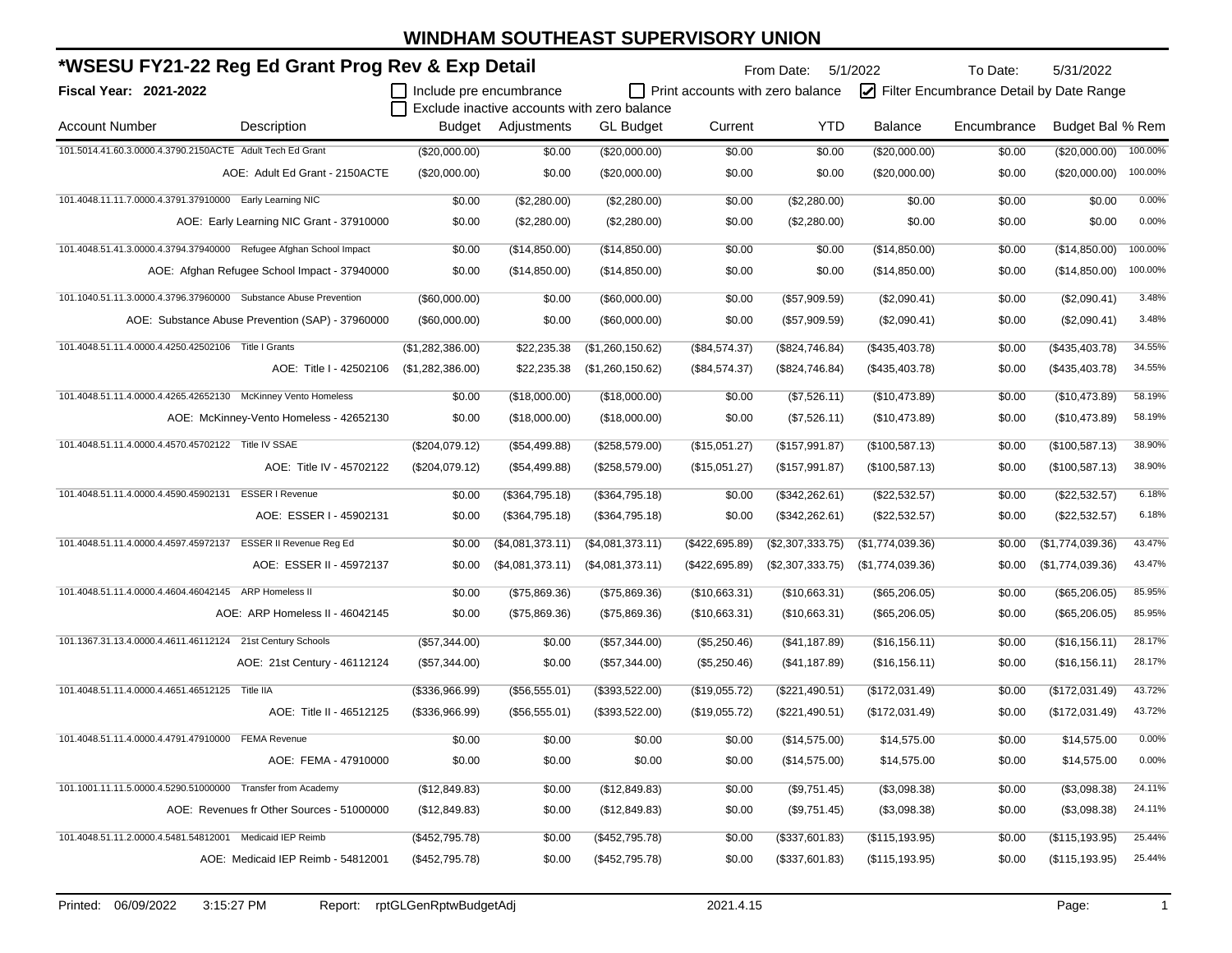| *WSESU FY21-22 Reg Ed Grant Prog Rev & Exp Detail                       |                         |                    |                                             |                                         | From Date:       | 5/1/2022         | To Date:                                | 5/31/2022        |         |
|-------------------------------------------------------------------------|-------------------------|--------------------|---------------------------------------------|-----------------------------------------|------------------|------------------|-----------------------------------------|------------------|---------|
| Fiscal Year: 2021-2022                                                  | Include pre encumbrance |                    |                                             | $\Box$ Print accounts with zero balance |                  |                  | Filter Encumbrance Detail by Date Range |                  |         |
|                                                                         |                         |                    | Exclude inactive accounts with zero balance |                                         |                  |                  |                                         |                  |         |
| Description<br><b>Account Number</b>                                    |                         | Budget Adjustments | <b>GL Budget</b>                            | Current                                 | YTD              | <b>Balance</b>   | Encumbrance                             | Budget Bal % Rem |         |
| 101.5014.41.60.3.0000.4.3790.2150ACTE Adult Tech Ed Grant               | (\$20,000.00)           | \$0.00             | (\$20,000.00)                               | \$0.00                                  | \$0.00           | (\$20,000.00)    | \$0.00                                  | (\$20,000.00)    | 100.00% |
| AOE: Adult Ed Grant - 2150ACTE                                          | (\$20,000.00)           | \$0.00             | $(\$20,000.00)$                             | \$0.00                                  | \$0.00           | $(\$20,000.00)$  | \$0.00                                  | (\$20,000.00)    | 100.00% |
| 101.4048.11.11.7.0000.4.3791.37910000 Early Learning NIC                | \$0.00                  | (\$2,280.00)       | (\$2,280.00)                                | \$0.00                                  | (\$2,280.00)     | \$0.00           | \$0.00                                  | \$0.00           | 0.00%   |
| AOE: Early Learning NIC Grant - 37910000                                | \$0.00                  | (\$2,280.00)       | (\$2,280.00)                                | \$0.00                                  | (\$2,280.00)     | \$0.00           | \$0.00                                  | \$0.00           | 0.00%   |
| 101.4048.51.41.3.0000.4.3794.37940000 Refugee Afghan School Impact      | \$0.00                  | (\$14,850.00)      | (\$14,850.00)                               | \$0.00                                  | \$0.00           | (\$14,850.00)    | \$0.00                                  | (\$14,850.00)    | 100.00% |
| AOE: Afghan Refugee School Impact - 37940000                            | \$0.00                  | (\$14,850.00)      | (\$14,850.00)                               | \$0.00                                  | \$0.00           | (\$14,850.00)    | \$0.00                                  | (\$14,850.00)    | 100.00% |
| 101.1040.51.11.3.0000.4.3796.37960000 Substance Abuse Prevention        | (\$60,000.00)           | \$0.00             | (\$60,000.00)                               | \$0.00                                  | (\$57,909.59)    | (\$2,090.41)     | \$0.00                                  | (\$2,090.41)     | 3.48%   |
| AOE: Substance Abuse Prevention (SAP) - 37960000                        | (\$60,000.00)           | \$0.00             | $(\$60,000.00)$                             | \$0.00                                  | (\$57,909.59)    | (\$2,090.41)     | \$0.00                                  | (\$2,090.41)     | 3.48%   |
| 101.4048.51.11.4.0000.4.4250.42502106 Title   Grants                    | (\$1,282,386.00)        | \$22,235.38        | (\$1,260,150.62)                            | (\$84,574.37)                           | (\$824,746.84)   | (\$435,403.78)   | \$0.00                                  | (\$435,403.78)   | 34.55%  |
| AOE: Title I - 42502106                                                 | (\$1,282,386.00)        | \$22,235.38        | (\$1,260,150.62)                            | (\$84,574.37)                           | $(\$824,746.84)$ | (\$435,403.78)   | \$0.00                                  | (\$435,403.78)   | 34.55%  |
| 101.4048.51.11.4.0000.4.4265.42652130 McKinney Vento Homeless           | \$0.00                  | (\$18,000.00)      | (\$18,000.00)                               | \$0.00                                  | (\$7,526.11)     | (\$10,473.89)    | \$0.00                                  | (\$10,473.89)    | 58.19%  |
| AOE: McKinney-Vento Homeless - 42652130                                 | \$0.00                  | (\$18,000.00)      | (\$18,000.00)                               | \$0.00                                  | (\$7,526.11)     | (\$10,473.89)    | \$0.00                                  | (\$10,473.89)    | 58.19%  |
| 101.4048.51.11.4.0000.4.4570.45702122 Title IV SSAE                     | (\$204,079.12)          | (\$54,499.88)      | (\$258,579.00)                              | (\$15,051.27)                           | (\$157,991.87)   | (\$100,587.13)   | \$0.00                                  | (\$100,587.13)   | 38.90%  |
| AOE: Title IV - 45702122                                                | (\$204,079.12)          | (\$54,499.88)      | (\$258,579.00)                              | (\$15,051.27)                           | (\$157,991.87)   | (\$100,587.13)   | \$0.00                                  | (\$100,587.13)   | 38.90%  |
| 101.4048.51.11.4.0000.4.4590.45902131 ESSER I Revenue                   | \$0.00                  | (\$364,795.18)     | (\$364,795.18)                              | \$0.00                                  | (\$342,262.61)   | (\$22,532.57)    | \$0.00                                  | (\$22,532.57)    | 6.18%   |
| AOE: ESSER I - 45902131                                                 | \$0.00                  | (\$364,795.18)     | (\$364,795.18)                              | \$0.00                                  | (\$342,262.61)   | (\$22,532.57)    | \$0.00                                  | (\$22,532.57)    | 6.18%   |
| 101.4048.51.11.4.0000.4.4597.45972137<br><b>ESSER II Revenue Reg Ed</b> | \$0.00                  | (\$4,081,373.11)   | (\$4,081,373.11)                            | (\$422,695.89)                          | (\$2,307,333.75) | (\$1,774,039.36) | \$0.00                                  | (\$1,774,039.36) | 43.47%  |
| AOE: ESSER II - 45972137                                                | \$0.00                  | (\$4,081,373.11)   | (\$4,081,373.11)                            | (\$422,695.89)                          | (\$2,307,333.75) | (\$1,774,039.36) | \$0.00                                  | (\$1,774,039.36) | 43.47%  |
| 101.4048.51.11.4.0000.4.4604.46042145 ARP Homeless II                   | \$0.00                  | (\$75,869.36)      | (\$75,869.36)                               | (\$10,663.31)                           | (\$10,663.31)    | (\$65,206.05)    | \$0.00                                  | (\$65,206.05)    | 85.95%  |
| AOE: ARP Homeless II - 46042145                                         | \$0.00                  | (\$75,869.36)      | (\$75,869.36)                               | (\$10,663.31)                           | (\$10,663.31)    | (\$65,206.05)    | \$0.00                                  | (\$65,206.05)    | 85.95%  |
| 101.1367.31.13.4.0000.4.4611.46112124 21st Century Schools              | (\$57,344.00)           | \$0.00             | (\$57,344.00)                               | (\$5,250.46)                            | (\$41,187.89)    | (\$16, 156.11)   | \$0.00                                  | (\$16, 156.11)   | 28.17%  |
| AOE: 21st Century - 46112124                                            | (\$57,344.00)           | \$0.00             | (\$57,344.00)                               | (\$5,250.46)                            | (\$41,187.89)    | (\$16, 156.11)   | \$0.00                                  | (\$16, 156.11)   | 28.17%  |
| 101.4048.51.11.4.0000.4.4651.46512125 Title IIA                         | (\$336,966.99)          | (\$56,555.01)      | (\$393,522.00)                              | (\$19,055.72)                           | (\$221,490.51)   | (\$172,031.49)   | \$0.00                                  | (\$172,031.49)   | 43.72%  |
| AOE: Title II - 46512125                                                | (\$336,966.99)          | (\$56,555.01)      | (\$393,522.00)                              | (\$19,055.72)                           | (\$221,490.51)   | (\$172,031.49)   | \$0.00                                  | (\$172,031.49)   | 43.72%  |
| 101.4048.51.11.4.0000.4.4791.47910000 FEMA Revenue                      | \$0.00                  | \$0.00             | \$0.00                                      | \$0.00                                  | (\$14,575.00)    | \$14,575.00      | \$0.00                                  | \$14,575.00      | 0.00%   |
| AOE: FEMA - 47910000                                                    | \$0.00                  | \$0.00             | \$0.00                                      | \$0.00                                  | (\$14,575.00)    | \$14,575.00      | \$0.00                                  | \$14,575.00      | 0.00%   |
| 101.1001.11.11.5.0000.4.5290.51000000 Transfer from Academy             | (\$12,849.83)           | \$0.00             | (\$12,849.83)                               | \$0.00                                  | (\$9,751.45)     | (\$3,098.38)     | \$0.00                                  | (\$3,098.38)     | 24.11%  |
| AOE: Revenues fr Other Sources - 51000000                               | (\$12,849.83)           | \$0.00             | (\$12,849.83)                               | \$0.00                                  | (\$9,751.45)     | (\$3,098.38)     | \$0.00                                  | (\$3,098.38)     | 24.11%  |
| 101.4048.51.11.2.0000.4.5481.54812001 Medicaid IEP Reimb                | (\$452,795.78)          | \$0.00             | (\$452,795.78)                              | \$0.00                                  | (\$337,601.83)   | (\$115, 193.95)  | \$0.00                                  | (\$115, 193.95)  | 25.44%  |
| AOE: Medicaid IEP Reimb - 54812001                                      | (\$452,795.78)          | \$0.00             | (\$452,795.78)                              | \$0.00                                  | (\$337,601.83)   | (\$115, 193.95)  | \$0.00                                  | (\$115, 193.95)  | 25.44%  |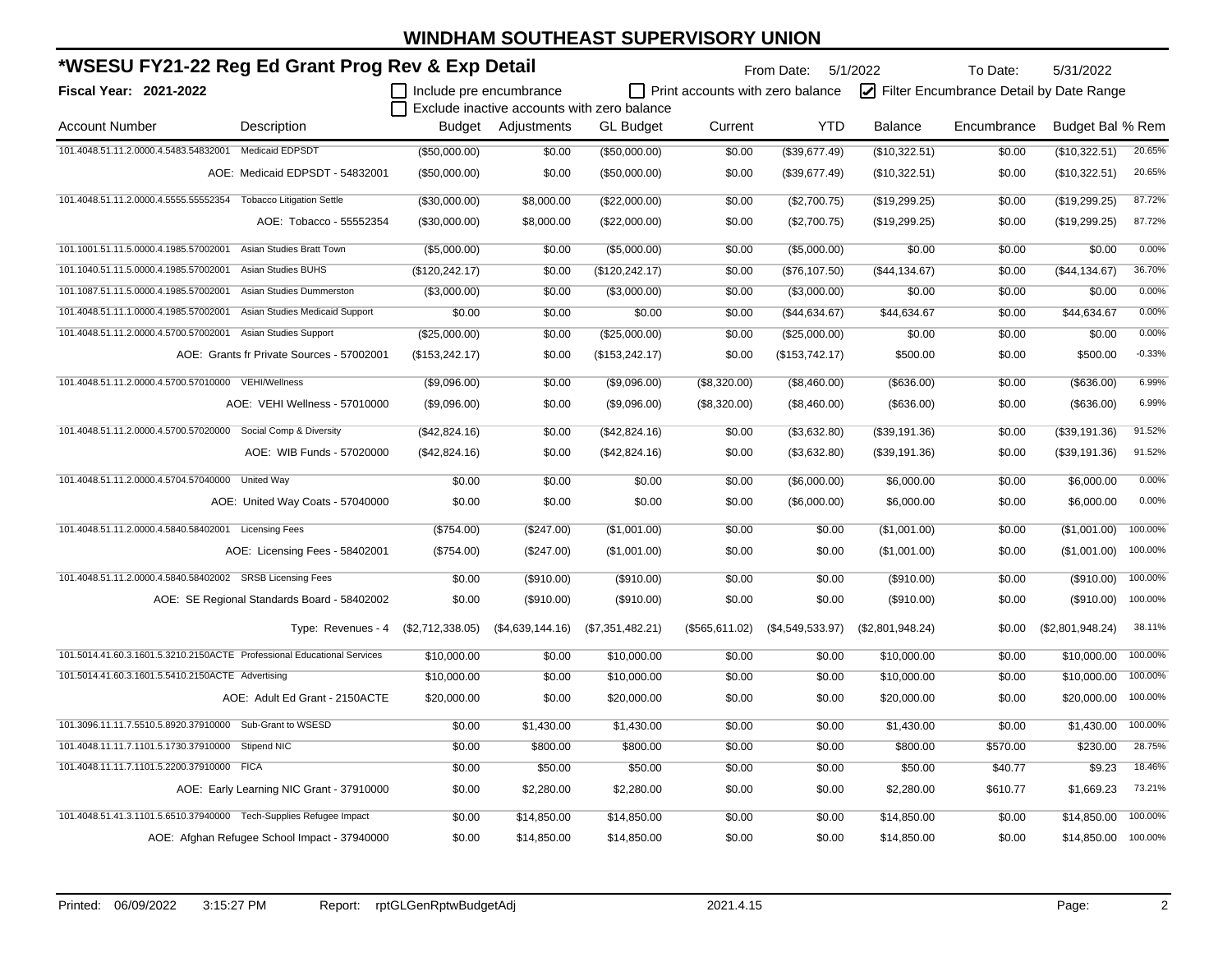| *WSESU FY21-22 Reg Ed Grant Prog Rev & Exp Detail         |                                                                         |                         |                    |                                             | From Date: 5/1/2022                     |                  | To Date:         | 5/31/2022                               |                  |          |
|-----------------------------------------------------------|-------------------------------------------------------------------------|-------------------------|--------------------|---------------------------------------------|-----------------------------------------|------------------|------------------|-----------------------------------------|------------------|----------|
| Fiscal Year: 2021-2022                                    |                                                                         | Include pre encumbrance |                    |                                             | $\Box$ Print accounts with zero balance |                  |                  | Filter Encumbrance Detail by Date Range |                  |          |
|                                                           |                                                                         |                         |                    | Exclude inactive accounts with zero balance |                                         |                  |                  |                                         |                  |          |
| <b>Account Number</b>                                     | Description                                                             |                         | Budget Adjustments | <b>GL</b> Budget                            | Current                                 | <b>YTD</b>       | <b>Balance</b>   | Encumbrance                             | Budget Bal % Rem |          |
| 101.4048.51.11.2.0000.4.5483.54832001 Medicaid EDPSDT     |                                                                         | (\$50,000.00)           | \$0.00             | (\$50,000.00)                               | \$0.00                                  | (\$39,677.49)    | (\$10,322.51)    | \$0.00                                  | (\$10,322.51)    | 20.65%   |
|                                                           | AOE: Medicaid EDPSDT - 54832001                                         | (\$50,000.00)           | \$0.00             | (\$50,000.00)                               | \$0.00                                  | (\$39,677.49)    | (\$10,322.51)    | \$0.00                                  | (\$10,322.51)    | 20.65%   |
| 101.4048.51.11.2.0000.4.5555.55552354                     | <b>Tobacco Litigation Settle</b>                                        | (\$30,000.00)           | \$8,000.00         | (\$22,000.00)                               | \$0.00                                  | (\$2,700.75)     | (\$19,299.25)    | \$0.00                                  | (\$19,299.25)    | 87.72%   |
|                                                           | AOE: Tobacco - 55552354                                                 | (\$30,000.00)           | \$8,000.00         | (\$22,000.00)                               | \$0.00                                  | (\$2,700.75)     | (\$19,299.25)    | \$0.00                                  | (\$19,299.25)    | 87.72%   |
| 101.1001.51.11.5.0000.4.1985.57002001                     | Asian Studies Bratt Town                                                | (\$5,000.00)            | \$0.00             | (\$5,000.00)                                | \$0.00                                  | (\$5,000.00)     | \$0.00           | \$0.00                                  | \$0.00           | 0.00%    |
| 101.1040.51.11.5.0000.4.1985.57002001                     | <b>Asian Studies BUHS</b>                                               | (\$120, 242.17)         | \$0.00             | (\$120, 242.17)                             | \$0.00                                  | (\$76,107.50)    | (\$44, 134.67)   | \$0.00                                  | (\$44,134.67)    | 36.70%   |
| 101.1087.51.11.5.0000.4.1985.57002001                     | Asian Studies Dummerston                                                | (\$3,000.00)            | \$0.00             | (\$3,000.00)                                | \$0.00                                  | (\$3,000.00)     | \$0.00           | \$0.00                                  | \$0.00           | 0.00%    |
| 101.4048.51.11.1.0000.4.1985.57002001                     | Asian Studies Medicaid Support                                          | \$0.00                  | \$0.00             | \$0.00                                      | \$0.00                                  | (\$44,634.67)    | \$44,634.67      | \$0.00                                  | \$44,634.67      | 0.00%    |
| 101.4048.51.11.2.0000.4.5700.57002001                     | Asian Studies Support                                                   | (\$25,000.00)           | \$0.00             | (\$25,000.00)                               | \$0.00                                  | (\$25,000.00)    | \$0.00           | \$0.00                                  | \$0.00           | 0.00%    |
|                                                           | AOE: Grants fr Private Sources - 57002001                               | (\$153, 242.17)         | \$0.00             | (\$153, 242.17)                             | \$0.00                                  | (\$153, 742.17)  | \$500.00         | \$0.00                                  | \$500.00         | $-0.33%$ |
| 101.4048.51.11.2.0000.4.5700.57010000 VEHI/Wellness       |                                                                         | (\$9,096.00)            | \$0.00             | (\$9,096.00)                                | (\$8,320.00)                            | (\$8,460.00)     | (\$636.00)       | \$0.00                                  | (\$636.00)       | 6.99%    |
|                                                           | AOE: VEHI Wellness - 57010000                                           | (\$9,096.00)            | \$0.00             | (\$9,096.00)                                | (\$8,320.00)                            | (\$8,460.00)     | (\$636.00)       | \$0.00                                  | (\$636.00)       | 6.99%    |
| 101.4048.51.11.2.0000.4.5700.57020000                     | Social Comp & Diversity                                                 | (\$42,824.16)           | \$0.00             | (\$42,824.16)                               | \$0.00                                  | (\$3,632.80)     | (\$39,191.36)    | \$0.00                                  | (\$39,191.36)    | 91.52%   |
|                                                           | AOE: WIB Funds - 57020000                                               | (\$42,824.16)           | \$0.00             | (\$42,824.16)                               | \$0.00                                  | (\$3,632.80)     | (\$39,191.36)    | \$0.00                                  | (\$39,191.36)    | 91.52%   |
| 101.4048.51.11.2.0000.4.5704.57040000                     | <b>United Way</b>                                                       | \$0.00                  | \$0.00             | \$0.00                                      | \$0.00                                  | (\$6,000.00)     | \$6,000.00       | \$0.00                                  | \$6,000.00       | 0.00%    |
|                                                           | AOE: United Way Coats - 57040000                                        | \$0.00                  | \$0.00             | \$0.00                                      | \$0.00                                  | (\$6,000.00)     | \$6,000.00       | \$0.00                                  | \$6,000.00       | 0.00%    |
| 101.4048.51.11.2.0000.4.5840.58402001 Licensing Fees      |                                                                         | (\$754.00)              | (\$247.00)         | (\$1,001.00)                                | \$0.00                                  | \$0.00           | (\$1,001.00)     | \$0.00                                  | (\$1,001.00)     | 100.00%  |
|                                                           | AOE: Licensing Fees - 58402001                                          | (\$754.00)              | (\$247.00)         | (\$1,001.00)                                | \$0.00                                  | \$0.00           | (\$1,001.00)     | \$0.00                                  | (\$1,001.00)     | 100.00%  |
| 101.4048.51.11.2.0000.4.5840.58402002 SRSB Licensing Fees |                                                                         | \$0.00                  | (\$910.00)         | (\$910.00)                                  | \$0.00                                  | \$0.00           | (\$910.00)       | \$0.00                                  | (\$910.00)       | 100.00%  |
|                                                           | AOE: SE Regional Standards Board - 58402002                             | \$0.00                  | (\$910.00)         | (\$910.00)                                  | \$0.00                                  | \$0.00           | $(\$910.00)$     | \$0.00                                  | $(\$910.00)$     | 100.00%  |
|                                                           | Type: Revenues - 4                                                      | (\$2,712,338.05)        | (\$4,639,144.16)   | (\$7,351,482.21)                            | (\$565,611.02)                          | (\$4,549,533.97) | (\$2,801,948.24) | \$0.00                                  | (\$2,801,948.24) | 38.11%   |
|                                                           | 101.5014.41.60.3.1601.5.3210.2150ACTE Professional Educational Services | \$10,000.00             | \$0.00             | \$10,000.00                                 | \$0.00                                  | \$0.00           | \$10,000.00      | \$0.00                                  | \$10,000.00      | 100.00%  |
| 101.5014.41.60.3.1601.5.5410.2150ACTE Advertising         |                                                                         | \$10,000.00             | \$0.00             | \$10,000.00                                 | \$0.00                                  | \$0.00           | \$10,000.00      | \$0.00                                  | \$10,000.00      | 100.00%  |
|                                                           | AOE: Adult Ed Grant - 2150ACTE                                          | \$20,000.00             | \$0.00             | \$20,000.00                                 | \$0.00                                  | \$0.00           | \$20,000.00      | \$0.00                                  | \$20,000.00      | 100.00%  |
| 101.3096.11.11.7.5510.5.8920.37910000 Sub-Grant to WSESD  |                                                                         | \$0.00                  | \$1,430.00         | \$1,430.00                                  | \$0.00                                  | \$0.00           | \$1,430.00       | \$0.00                                  | \$1,430.00       | 100.00%  |
| 101.4048.11.11.7.1101.5.1730.37910000 Stipend NIC         |                                                                         | \$0.00                  | \$800.00           | \$800.00                                    | \$0.00                                  | \$0.00           | \$800.00         | \$570.00                                | \$230.00         | 28.75%   |
| 101.4048.11.11.7.1101.5.2200.37910000 FICA                |                                                                         | \$0.00                  | \$50.00            | \$50.00                                     | \$0.00                                  | \$0.00           | \$50.00          | \$40.77                                 | \$9.23           | 18.46%   |
|                                                           | AOE: Early Learning NIC Grant - 37910000                                | \$0.00                  | \$2,280.00         | \$2,280.00                                  | \$0.00                                  | \$0.00           | \$2,280.00       | \$610.77                                | \$1,669.23       | 73.21%   |
|                                                           | 101.4048.51.41.3.1101.5.6510.37940000 Tech-Supplies Refugee Impact      | \$0.00                  | \$14,850.00        | \$14,850.00                                 | \$0.00                                  | \$0.00           | \$14,850.00      | \$0.00                                  | \$14,850.00      | 100.00%  |
|                                                           | AOE: Afghan Refugee School Impact - 37940000                            | \$0.00                  | \$14,850.00        | \$14,850.00                                 | \$0.00                                  | \$0.00           | \$14,850.00      | \$0.00                                  | \$14,850.00      | 100.00%  |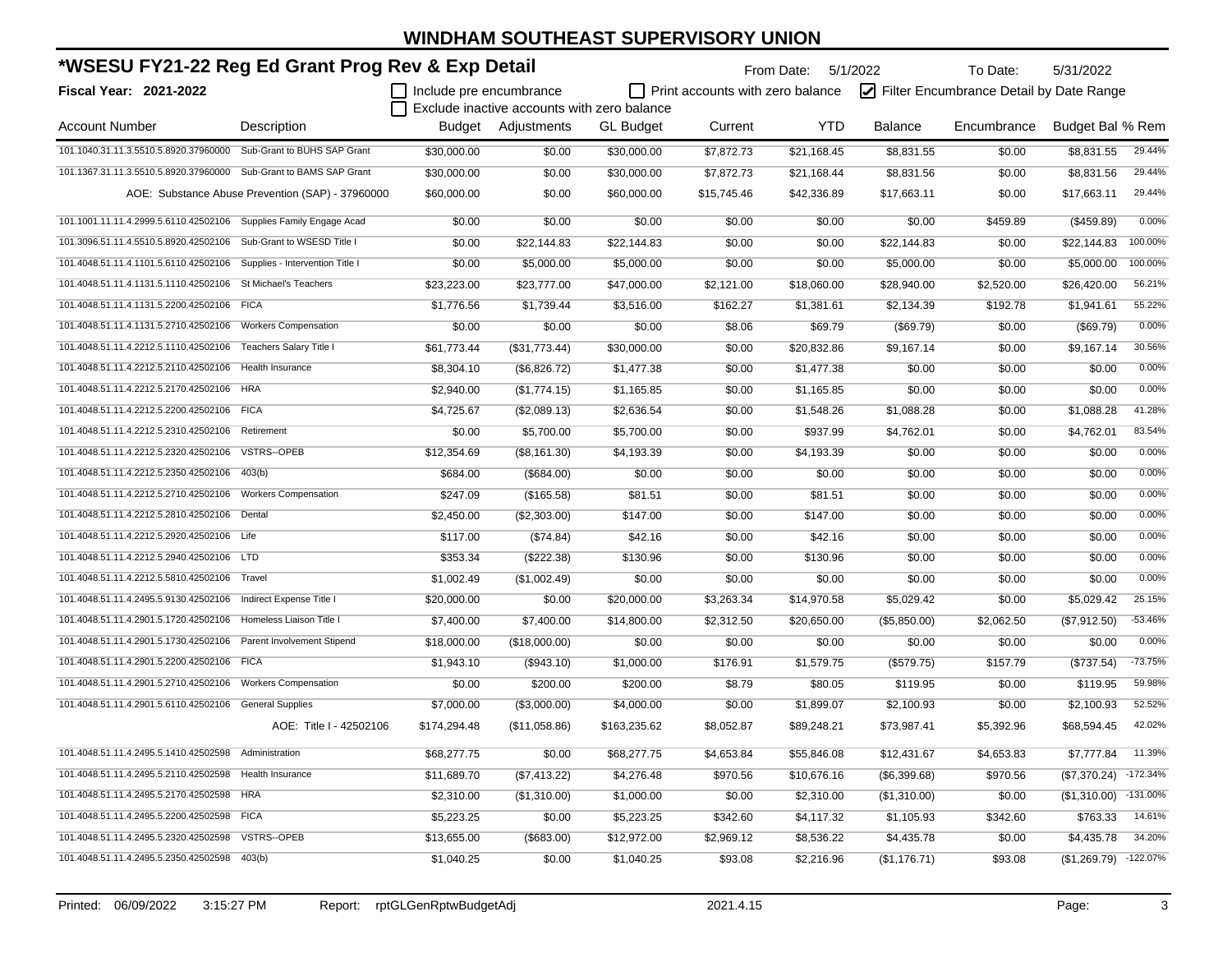| *WSESU FY21-22 Reg Ed Grant Prog Rev & Exp Detail                     |                                                  |                         |                                             | From Date: 5/1/2022 |                                  | To Date:    | 5/31/2022      |                                         |                  |            |
|-----------------------------------------------------------------------|--------------------------------------------------|-------------------------|---------------------------------------------|---------------------|----------------------------------|-------------|----------------|-----------------------------------------|------------------|------------|
| Fiscal Year: 2021-2022                                                |                                                  | Include pre encumbrance |                                             |                     | Print accounts with zero balance |             |                | Filter Encumbrance Detail by Date Range |                  |            |
|                                                                       |                                                  |                         | Exclude inactive accounts with zero balance |                     |                                  |             |                |                                         |                  |            |
| <b>Account Number</b>                                                 | Description                                      |                         | Budget Adjustments                          | <b>GL Budget</b>    | Current                          | <b>YTD</b>  | <b>Balance</b> | Encumbrance                             | Budget Bal % Rem |            |
| 101.1040.31.11.3.5510.5.8920.37960000                                 | Sub-Grant to BUHS SAP Grant                      | \$30,000.00             | \$0.00                                      | \$30,000.00         | \$7,872.73                       | \$21,168.45 | \$8,831.55     | \$0.00                                  | \$8,831.55       | 29.44%     |
| 101.1367.31.11.3.5510.5.8920.37960000 Sub-Grant to BAMS SAP Grant     |                                                  | \$30,000.00             | \$0.00                                      | \$30,000.00         | \$7,872.73                       | \$21,168.44 | \$8,831.56     | \$0.00                                  | \$8,831.56       | 29.44%     |
|                                                                       | AOE: Substance Abuse Prevention (SAP) - 37960000 | \$60,000.00             | \$0.00                                      | \$60,000.00         | \$15,745.46                      | \$42,336.89 | \$17,663.11    | \$0.00                                  | \$17,663.11      | 29.44%     |
| 101.1001.11.11.4.2999.5.6110.42502106 Supplies Family Engage Acad     |                                                  | \$0.00                  | \$0.00                                      | \$0.00              | \$0.00                           | \$0.00      | \$0.00         | \$459.89                                | (\$459.89)       | 0.00%      |
| 101.3096.51.11.4.5510.5.8920.42502106 Sub-Grant to WSESD Title I      |                                                  | \$0.00                  | \$22,144.83                                 | \$22,144.83         | \$0.00                           | \$0.00      | \$22,144.83    | \$0.00                                  | \$22,144.83      | 100.00%    |
| 101.4048.51.11.4.1101.5.6110.42502106 Supplies - Intervention Title I |                                                  | \$0.00                  | \$5,000.00                                  | \$5,000.00          | \$0.00                           | \$0.00      | \$5,000.00     | \$0.00                                  | \$5,000.00       | 100.00%    |
| 101.4048.51.11.4.1131.5.1110.42502106 St Michael's Teachers           |                                                  | \$23,223.00             | \$23,777.00                                 | \$47,000.00         | \$2,121.00                       | \$18,060.00 | \$28,940.00    | \$2,520.00                              | \$26,420.00      | 56.21%     |
| 101.4048.51.11.4.1131.5.2200.42502106                                 | <b>FICA</b>                                      | \$1,776.56              | \$1,739.44                                  | \$3,516.00          | \$162.27                         | \$1,381.61  | \$2,134.39     | \$192.78                                | \$1,941.61       | 55.22%     |
| 101.4048.51.11.4.1131.5.2710.42502106                                 | <b>Workers Compensation</b>                      | \$0.00                  | \$0.00                                      | \$0.00              | \$8.06                           | \$69.79     | (\$69.79)      | \$0.00                                  | (\$69.79)        | 0.00%      |
| 101.4048.51.11.4.2212.5.1110.42502106                                 | Teachers Salary Title I                          | \$61,773.44             | (\$31,773.44)                               | \$30,000.00         | \$0.00                           | \$20,832.86 | \$9,167.14     | \$0.00                                  | \$9,167.14       | 30.56%     |
| 101.4048.51.11.4.2212.5.2110.42502106                                 | Health Insurance                                 | \$8,304.10              | (\$6,826.72)                                | \$1,477.38          | \$0.00                           | \$1,477.38  | \$0.00         | \$0.00                                  | \$0.00           | 0.00%      |
| 101.4048.51.11.4.2212.5.2170.42502106 HRA                             |                                                  | \$2,940.00              | (\$1,774.15)                                | \$1,165.85          | \$0.00                           | \$1,165.85  | \$0.00         | \$0.00                                  | \$0.00           | 0.00%      |
| 101.4048.51.11.4.2212.5.2200.42502106 FICA                            |                                                  | \$4,725.67              | (\$2,089.13)                                | \$2,636.54          | \$0.00                           | \$1,548.26  | \$1,088.28     | \$0.00                                  | \$1,088.28       | 41.28%     |
| 101.4048.51.11.4.2212.5.2310.42502106                                 | Retirement                                       | \$0.00                  | \$5,700.00                                  | \$5,700.00          | \$0.00                           | \$937.99    | \$4,762.01     | \$0.00                                  | \$4,762.01       | 83.54%     |
| 101.4048.51.11.4.2212.5.2320.42502106                                 | VSTRS--OPEB                                      | \$12,354.69             | (\$8,161.30)                                | \$4,193.39          | \$0.00                           | \$4,193.39  | \$0.00         | \$0.00                                  | \$0.00           | 0.00%      |
| 101.4048.51.11.4.2212.5.2350.42502106                                 | 403(b)                                           | \$684.00                | (\$684.00)                                  | \$0.00              | \$0.00                           | \$0.00      | \$0.00         | \$0.00                                  | \$0.00           | 0.00%      |
| 101.4048.51.11.4.2212.5.2710.42502106                                 | <b>Workers Compensation</b>                      | \$247.09                | (\$165.58)                                  | \$81.51             | \$0.00                           | \$81.51     | \$0.00         | \$0.00                                  | \$0.00           | 0.00%      |
| 101.4048.51.11.4.2212.5.2810.42502106 Dental                          |                                                  | \$2,450.00              | (\$2,303.00)                                | \$147.00            | \$0.00                           | \$147.00    | \$0.00         | \$0.00                                  | \$0.00           | 0.00%      |
| 101.4048.51.11.4.2212.5.2920.42502106 Life                            |                                                  | \$117.00                | (\$74.84)                                   | \$42.16             | \$0.00                           | \$42.16     | \$0.00         | \$0.00                                  | \$0.00           | 0.00%      |
| 101.4048.51.11.4.2212.5.2940.42502106 LTD                             |                                                  | \$353.34                | (\$222.38)                                  | \$130.96            | \$0.00                           | \$130.96    | \$0.00         | \$0.00                                  | \$0.00           | 0.00%      |
| 101.4048.51.11.4.2212.5.5810.42502106 Travel                          |                                                  | \$1,002.49              | (\$1,002.49)                                | \$0.00              | \$0.00                           | \$0.00      | \$0.00         | \$0.00                                  | \$0.00           | 0.00%      |
| 101.4048.51.11.4.2495.5.9130.42502106                                 | Indirect Expense Title I                         | \$20,000.00             | \$0.00                                      | \$20,000.00         | \$3,263.34                       | \$14,970.58 | \$5,029.42     | \$0.00                                  | \$5,029.42       | 25.15%     |
| 101.4048.51.11.4.2901.5.1720.42502106                                 | Homeless Liaison Title I                         | \$7,400.00              | \$7,400.00                                  | \$14,800.00         | \$2,312.50                       | \$20,650.00 | (\$5,850.00)   | \$2,062.50                              | (\$7,912.50)     | $-53.46%$  |
| 101.4048.51.11.4.2901.5.1730.42502106                                 | Parent Involvement Stipend                       | \$18,000.00             | (\$18,000.00)                               | \$0.00              | \$0.00                           | \$0.00      | \$0.00         | \$0.00                                  | \$0.00           | 0.00%      |
| 101.4048.51.11.4.2901.5.2200.42502106                                 | <b>FICA</b>                                      | \$1,943.10              | (\$943.10)                                  | \$1,000.00          | \$176.91                         | \$1,579.75  | (\$579.75)     | \$157.79                                | (\$737.54)       | $-73.75%$  |
| 101.4048.51.11.4.2901.5.2710.42502106                                 | <b>Workers Compensation</b>                      | \$0.00                  | \$200.00                                    | \$200.00            | \$8.79                           | \$80.05     | \$119.95       | \$0.00                                  | \$119.95         | 59.98%     |
| 101.4048.51.11.4.2901.5.6110.42502106 General Supplies                |                                                  | \$7,000.00              | (\$3,000.00)                                | \$4,000.00          | \$0.00                           | \$1,899.07  | \$2,100.93     | \$0.00                                  | \$2,100.93       | 52.52%     |
|                                                                       | AOE: Title I - 42502106                          | \$174,294.48            | (\$11,058.86)                               | \$163,235.62        | \$8,052.87                       | \$89,248.21 | \$73,987.41    | \$5,392.96                              | \$68,594.45      | 42.02%     |
| 101.4048.51.11.4.2495.5.1410.42502598 Administration                  |                                                  | \$68,277.75             | \$0.00                                      | \$68,277.75         | \$4,653.84                       | \$55,846.08 | \$12,431.67    | \$4,653.83                              | \$7,777.84       | 11.39%     |
| 101.4048.51.11.4.2495.5.2110.42502598                                 | Health Insurance                                 | \$11,689.70             | (\$7,413.22)                                | \$4,276.48          | \$970.56                         | \$10,676.16 | (\$6,399.68)   | \$970.56                                | (\$7,370.24)     | $-172.34%$ |
| 101.4048.51.11.4.2495.5.2170.42502598                                 | <b>HRA</b>                                       | \$2,310.00              | (\$1,310.00)                                | \$1,000.00          | \$0.00                           | \$2,310.00  | (\$1,310.00)   | \$0.00                                  | (\$1,310.00)     | $-131.00%$ |
| 101.4048.51.11.4.2495.5.2200.42502598                                 | <b>FICA</b>                                      | \$5,223.25              | \$0.00                                      | \$5,223.25          | \$342.60                         | \$4,117.32  | \$1,105.93     | \$342.60                                | \$763.33         | 14.61%     |
| 101.4048.51.11.4.2495.5.2320.42502598                                 | VSTRS--OPEB                                      | \$13,655.00             | (\$683.00)                                  | \$12,972.00         | \$2,969.12                       | \$8,536.22  | \$4,435.78     | \$0.00                                  | \$4,435.78       | 34.20%     |
| 101.4048.51.11.4.2495.5.2350.42502598                                 | 403(b)                                           | \$1,040.25              | \$0.00                                      | \$1,040.25          | \$93.08                          | \$2,216.96  | (\$1,176.71)   | \$93.08                                 | (\$1,269.79)     | $-122.07%$ |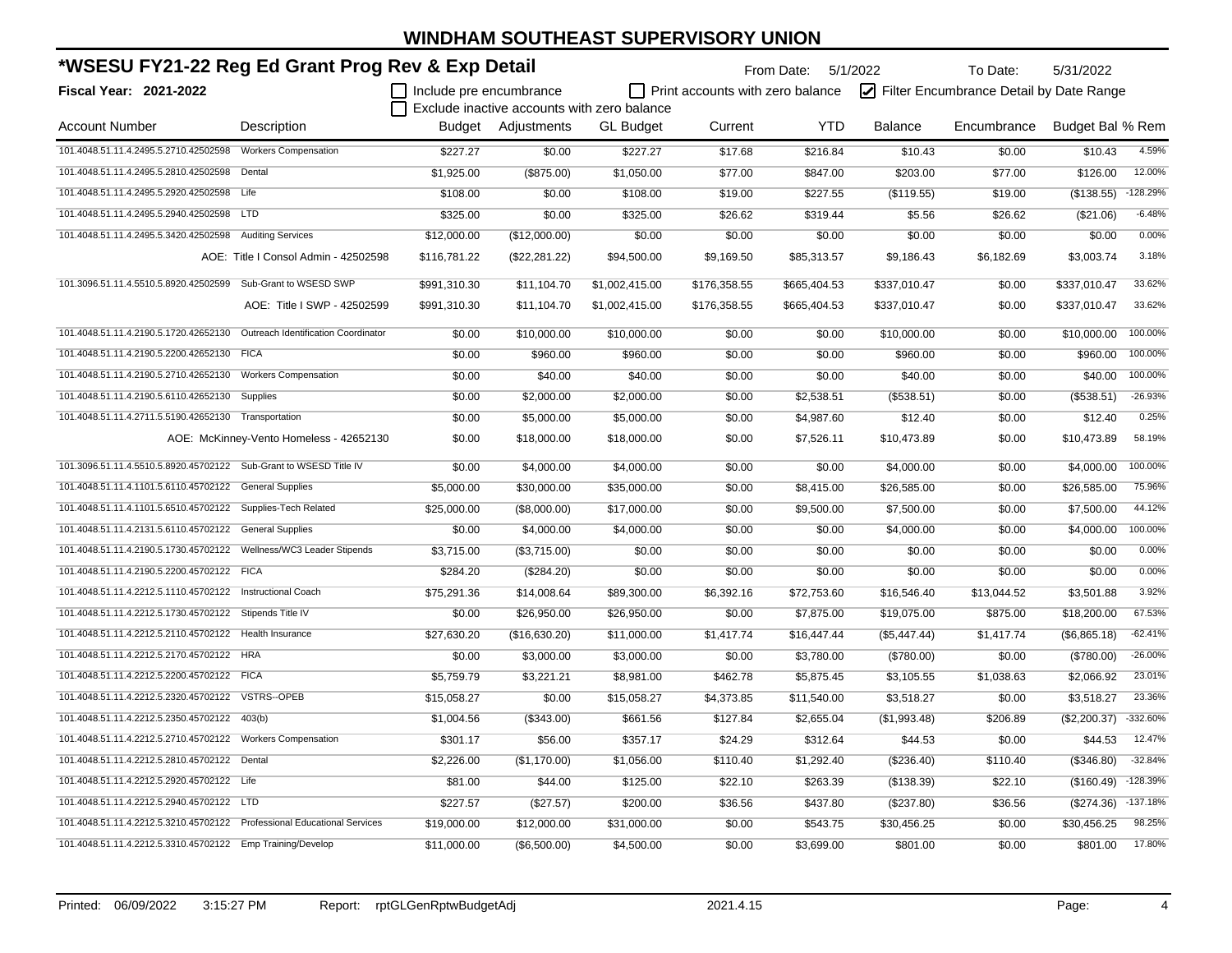| *WSESU FY21-22 Reg Ed Grant Prog Rev & Exp Detail                          |                                         |                         |                |                                             | From Date: 5/1/2022              |              | To Date:       | 5/31/2022                               |                  |            |
|----------------------------------------------------------------------------|-----------------------------------------|-------------------------|----------------|---------------------------------------------|----------------------------------|--------------|----------------|-----------------------------------------|------------------|------------|
| <b>Fiscal Year: 2021-2022</b>                                              |                                         | Include pre encumbrance |                |                                             | Print accounts with zero balance |              |                | Filter Encumbrance Detail by Date Range |                  |            |
|                                                                            |                                         |                         |                | Exclude inactive accounts with zero balance |                                  |              |                |                                         |                  |            |
| <b>Account Number</b>                                                      | Description                             | Budget                  | Adjustments    | <b>GL Budget</b>                            | Current                          | <b>YTD</b>   | <b>Balance</b> | Encumbrance                             | Budget Bal % Rem |            |
|                                                                            |                                         | \$227.27                | \$0.00         | \$227.27                                    | \$17.68                          | \$216.84     | \$10.43        | \$0.00                                  | \$10.43          | 4.59%      |
| 101.4048.51.11.4.2495.5.2810.42502598 Dental                               |                                         | \$1,925.00              | (\$875.00)     | \$1,050.00                                  | \$77.00                          | \$847.00     | \$203.00       | \$77.00                                 | \$126.00         | 12.00%     |
| 101.4048.51.11.4.2495.5.2920.42502598 Life                                 |                                         | \$108.00                | \$0.00         | \$108.00                                    | \$19.00                          | \$227.55     | (\$119.55)     | \$19.00                                 | (\$138.55)       | $-128.29%$ |
| 101.4048.51.11.4.2495.5.2940.42502598 LTD                                  |                                         | \$325.00                | \$0.00         | \$325.00                                    | \$26.62                          | \$319.44     | \$5.56         | \$26.62                                 | (\$21.06)        | $-6.48%$   |
| 101.4048.51.11.4.2495.5.3420.42502598 Auditing Services                    |                                         | \$12,000.00             | (\$12,000.00)  | \$0.00                                      | \$0.00                           | \$0.00       | \$0.00         | \$0.00                                  | \$0.00           | 0.00%      |
|                                                                            | AOE: Title I Consol Admin - 42502598    | \$116,781.22            | (\$22, 281.22) | \$94,500.00                                 | \$9,169.50                       | \$85,313.57  | \$9,186.43     | \$6,182.69                              | \$3,003.74       | 3.18%      |
| 101.3096.51.11.4.5510.5.8920.42502599 Sub-Grant to WSESD SWP               |                                         | \$991,310.30            | \$11,104.70    | \$1,002,415.00                              | \$176,358.55                     | \$665,404.53 | \$337,010.47   | \$0.00                                  | \$337,010.47     | 33.62%     |
|                                                                            | AOE: Title I SWP - 42502599             | \$991,310.30            | \$11,104.70    | \$1,002,415.00                              | \$176,358.55                     | \$665,404.53 | \$337,010.47   | \$0.00                                  | \$337,010.47     | 33.62%     |
| 101.4048.51.11.4.2190.5.1720.42652130  Outreach Identification Coordinator |                                         | \$0.00                  | \$10,000.00    | \$10,000.00                                 | \$0.00                           | \$0.00       | \$10,000.00    | \$0.00                                  | \$10,000.00      | 100.00%    |
| 101.4048.51.11.4.2190.5.2200.42652130 FICA                                 |                                         | \$0.00                  | \$960.00       | \$960.00                                    | \$0.00                           | \$0.00       | \$960.00       | \$0.00                                  | \$960.00         | 100.00%    |
| 101.4048.51.11.4.2190.5.2710.42652130 Workers Compensation                 |                                         | \$0.00                  | \$40.00        | \$40.00                                     | \$0.00                           | \$0.00       | \$40.00        | \$0.00                                  | \$40.00          | 100.00%    |
| 101.4048.51.11.4.2190.5.6110.42652130 Supplies                             |                                         | \$0.00                  | \$2,000.00     | \$2,000.00                                  | \$0.00                           | \$2,538.51   | (\$538.51)     | \$0.00                                  | (\$538.51)       | $-26.93%$  |
| 101.4048.51.11.4.2711.5.5190.42652130 Transportation                       |                                         | \$0.00                  | \$5,000.00     | \$5,000.00                                  | \$0.00                           | \$4,987.60   | \$12.40        | \$0.00                                  | \$12.40          | 0.25%      |
|                                                                            | AOE: McKinney-Vento Homeless - 42652130 | \$0.00                  | \$18,000.00    | \$18,000.00                                 | \$0.00                           | \$7,526.11   | \$10,473.89    | \$0.00                                  | \$10,473.89      | 58.19%     |
| 101.3096.51.11.4.5510.5.8920.45702122 Sub-Grant to WSESD Title IV          |                                         | \$0.00                  | \$4,000.00     | \$4,000.00                                  | \$0.00                           | \$0.00       | \$4,000.00     | \$0.00                                  | \$4,000.00       | 100.00%    |
| 101.4048.51.11.4.1101.5.6110.45702122 General Supplies                     |                                         | \$5,000.00              | \$30,000.00    | \$35,000.00                                 | \$0.00                           | \$8,415.00   | \$26,585.00    | \$0.00                                  | \$26,585.00      | 75.96%     |
| 101.4048.51.11.4.1101.5.6510.45702122 Supplies-Tech Related                |                                         | \$25,000.00             | (\$8,000.00)   | \$17,000.00                                 | \$0.00                           | \$9,500.00   | \$7,500.00     | \$0.00                                  | \$7,500.00       | 44.12%     |
| 101.4048.51.11.4.2131.5.6110.45702122 General Supplies                     |                                         | \$0.00                  | \$4,000.00     | \$4,000.00                                  | \$0.00                           | \$0.00       | \$4,000.00     | \$0.00                                  | \$4,000.00       | 100.00%    |
|                                                                            |                                         | \$3,715.00              | (\$3,715.00)   | \$0.00                                      | \$0.00                           | \$0.00       | \$0.00         | \$0.00                                  | \$0.00           | 0.00%      |
| 101.4048.51.11.4.2190.5.2200.45702122 FICA                                 |                                         | \$284.20                | (\$284.20)     | \$0.00                                      | \$0.00                           | \$0.00       | \$0.00         | \$0.00                                  | \$0.00           | 0.00%      |
| 101.4048.51.11.4.2212.5.1110.45702122 Instructional Coach                  |                                         | \$75,291.36             | \$14,008.64    | \$89,300.00                                 | \$6,392.16                       | \$72,753.60  | \$16,546.40    | \$13,044.52                             | \$3,501.88       | 3.92%      |
| 101.4048.51.11.4.2212.5.1730.45702122 Stipends Title IV                    |                                         | \$0.00                  | \$26,950.00    | \$26,950.00                                 | \$0.00                           | \$7,875.00   | \$19,075.00    | \$875.00                                | \$18,200.00      | 67.53%     |
| 101.4048.51.11.4.2212.5.2110.45702122 Health Insurance                     |                                         | \$27,630.20             | (\$16,630.20)  | \$11,000.00                                 | \$1,417.74                       | \$16,447.44  | (\$5,447.44)   | \$1,417.74                              | (\$6,865.18)     | $-62.41%$  |
| 101.4048.51.11.4.2212.5.2170.45702122 HRA                                  |                                         | \$0.00                  | \$3,000.00     | \$3,000.00                                  | \$0.00                           | \$3,780.00   | (\$780.00)     | \$0.00                                  | (\$780.00)       | $-26.00%$  |
| 101.4048.51.11.4.2212.5.2200.45702122 FICA                                 |                                         | \$5,759.79              | \$3,221.21     | \$8,981.00                                  | \$462.78                         | \$5,875.45   | \$3,105.55     | \$1,038.63                              | \$2,066.92       | 23.01%     |
| 101.4048.51.11.4.2212.5.2320.45702122 VSTRS--OPEB                          |                                         | \$15,058.27             | \$0.00         | \$15,058.27                                 | \$4,373.85                       | \$11,540.00  | \$3,518.27     | \$0.00                                  | \$3,518.27       | 23.36%     |
| 101.4048.51.11.4.2212.5.2350.45702122 403(b)                               |                                         | \$1,004.56              | (\$343.00)     | \$661.56                                    | \$127.84                         | \$2,655.04   | (\$1,993.48)   | \$206.89                                | (\$2,200.37)     | -332.60%   |
| 101.4048.51.11.4.2212.5.2710.45702122 Workers Compensation                 |                                         | \$301.17                | \$56.00        | \$357.17                                    | \$24.29                          | \$312.64     | \$44.53        | \$0.00                                  | \$44.53          | 12.47%     |
| 101.4048.51.11.4.2212.5.2810.45702122 Dental                               |                                         | \$2,226.00              | (\$1,170.00)   | \$1,056.00                                  | \$110.40                         | \$1,292.40   | (\$236.40)     | \$110.40                                | (\$346.80)       | $-32.84%$  |
| 101.4048.51.11.4.2212.5.2920.45702122 Life                                 |                                         | \$81.00                 | \$44.00        | \$125.00                                    | \$22.10                          | \$263.39     | (\$138.39)     | \$22.10                                 | (\$160.49)       | $-128.39%$ |
| 101.4048.51.11.4.2212.5.2940.45702122 LTD                                  |                                         | \$227.57                | (\$27.57)      | \$200.00                                    | \$36.56                          | \$437.80     | (\$237.80)     | \$36.56                                 | (\$274.36)       | $-137.18%$ |
| 101.4048.51.11.4.2212.5.3210.45702122 Professional Educational Services    |                                         | \$19,000.00             | \$12,000.00    | \$31,000.00                                 | \$0.00                           | \$543.75     | \$30,456.25    | \$0.00                                  | \$30,456.25      | 98.25%     |
| 101.4048.51.11.4.2212.5.3310.45702122 Emp Training/Develop                 |                                         | \$11,000.00             | (\$6,500.00)   | \$4,500.00                                  | \$0.00                           | \$3,699.00   | \$801.00       | \$0.00                                  | \$801.00         | 17.80%     |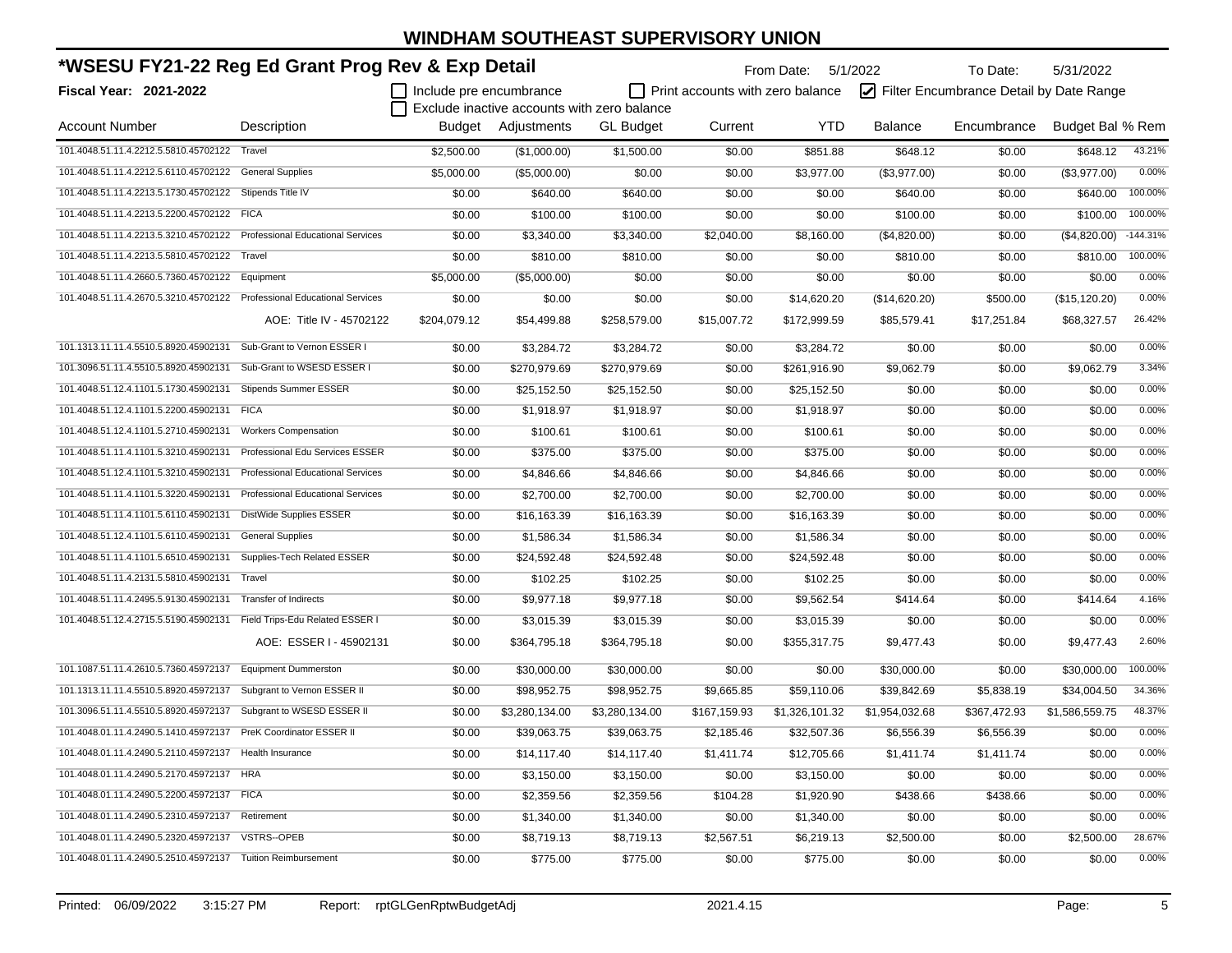| *WSESU FY21-22 Reg Ed Grant Prog Rev & Exp Detail                       |                                          |                         |                                             |                  |                                         | From Date: 5/1/2022 |                | To Date:                                | 5/31/2022        |            |
|-------------------------------------------------------------------------|------------------------------------------|-------------------------|---------------------------------------------|------------------|-----------------------------------------|---------------------|----------------|-----------------------------------------|------------------|------------|
| Fiscal Year: 2021-2022                                                  |                                          | Include pre encumbrance |                                             |                  | $\Box$ Print accounts with zero balance |                     |                | Filter Encumbrance Detail by Date Range |                  |            |
|                                                                         |                                          |                         | Exclude inactive accounts with zero balance |                  |                                         |                     |                |                                         |                  |            |
| <b>Account Number</b>                                                   | Description                              |                         | Budget Adjustments                          | <b>GL Budget</b> | Current                                 | <b>YTD</b>          | Balance        | Encumbrance                             | Budget Bal % Rem |            |
| 101.4048.51.11.4.2212.5.5810.45702122 Travel                            |                                          | \$2,500.00              | (\$1,000.00)                                | \$1,500.00       | \$0.00                                  | \$851.88            | \$648.12       | \$0.00                                  | \$648.12         | 43.21%     |
| 101.4048.51.11.4.2212.5.6110.45702122                                   | <b>General Supplies</b>                  | \$5,000.00              | (\$5,000.00)                                | \$0.00           | \$0.00                                  | \$3,977.00          | (\$3,977.00)   | \$0.00                                  | (\$3,977.00)     | 0.00%      |
| 101.4048.51.11.4.2213.5.1730.45702122                                   | Stipends Title IV                        | \$0.00                  | \$640.00                                    | \$640.00         | \$0.00                                  | \$0.00              | \$640.00       | \$0.00                                  | \$640.00         | 100.00%    |
| 101.4048.51.11.4.2213.5.2200.45702122 FICA                              |                                          | \$0.00                  | \$100.00                                    | \$100.00         | \$0.00                                  | \$0.00              | \$100.00       | \$0.00                                  | \$100.00         | 100.00%    |
| 101.4048.51.11.4.2213.5.3210.45702122 Professional Educational Services |                                          | \$0.00                  | \$3,340.00                                  | \$3,340.00       | \$2,040.00                              | \$8,160.00          | (\$4,820.00)   | \$0.00                                  | (\$4,820.00)     | $-144.31%$ |
| 101.4048.51.11.4.2213.5.5810.45702122 Travel                            |                                          | \$0.00                  | \$810.00                                    | \$810.00         | \$0.00                                  | \$0.00              | \$810.00       | \$0.00                                  | \$810.00         | 100.00%    |
| 101.4048.51.11.4.2660.5.7360.45702122                                   | Equipment                                | \$5,000.00              | (\$5,000.00)                                | \$0.00           | \$0.00                                  | \$0.00              | \$0.00         | \$0.00                                  | \$0.00           | 0.00%      |
| 101.4048.51.11.4.2670.5.3210.45702122 Professional Educational Services |                                          | \$0.00                  | \$0.00                                      | \$0.00           | \$0.00                                  | \$14,620.20         | (\$14,620.20)  | \$500.00                                | (\$15, 120.20)   | 0.00%      |
|                                                                         | AOE: Title IV - 45702122                 | \$204,079.12            | \$54,499.88                                 | \$258,579.00     | \$15,007.72                             | \$172,999.59        | \$85,579.41    | \$17,251.84                             | \$68,327.57      | 26.42%     |
| 101.1313.11.11.4.5510.5.8920.45902131                                   | Sub-Grant to Vernon ESSER I              | \$0.00                  | \$3,284.72                                  | \$3,284.72       | \$0.00                                  | \$3,284.72          | \$0.00         | \$0.00                                  | \$0.00           | 0.00%      |
| 101.3096.51.11.4.5510.5.8920.45902131                                   | Sub-Grant to WSESD ESSER I               | \$0.00                  | \$270,979.69                                | \$270,979.69     | \$0.00                                  | \$261,916.90        | \$9,062.79     | \$0.00                                  | \$9,062.79       | 3.34%      |
| 101.4048.51.12.4.1101.5.1730.45902131                                   | <b>Stipends Summer ESSER</b>             | \$0.00                  | \$25,152.50                                 | \$25,152.50      | \$0.00                                  | \$25,152.50         | \$0.00         | \$0.00                                  | \$0.00           | 0.00%      |
| 101.4048.51.12.4.1101.5.2200.45902131                                   | <b>FICA</b>                              | \$0.00                  | \$1,918.97                                  | \$1,918.97       | \$0.00                                  | \$1,918.97          | \$0.00         | \$0.00                                  | \$0.00           | 0.00%      |
| 101.4048.51.12.4.1101.5.2710.45902131                                   | <b>Workers Compensation</b>              | \$0.00                  | \$100.61                                    | \$100.61         | \$0.00                                  | \$100.61            | \$0.00         | \$0.00                                  | \$0.00           | 0.00%      |
| 101.4048.51.11.4.1101.5.3210.45902131                                   | Professional Edu Services ESSER          | \$0.00                  | \$375.00                                    | \$375.00         | \$0.00                                  | \$375.00            | \$0.00         | \$0.00                                  | \$0.00           | 0.00%      |
| 101.4048.51.12.4.1101.5.3210.45902131                                   | <b>Professional Educational Services</b> | \$0.00                  | \$4,846.66                                  | \$4,846.66       | \$0.00                                  | \$4,846.66          | \$0.00         | \$0.00                                  | \$0.00           | 0.00%      |
| 101.4048.51.11.4.1101.5.3220.45902131                                   | Professional Educational Services        | \$0.00                  | \$2,700.00                                  | \$2,700.00       | \$0.00                                  | \$2,700.00          | \$0.00         | \$0.00                                  | \$0.00           | 0.00%      |
| 101.4048.51.11.4.1101.5.6110.45902131                                   | DistWide Supplies ESSER                  | \$0.00                  | \$16,163.39                                 | \$16,163.39      | \$0.00                                  | \$16,163.39         | \$0.00         | \$0.00                                  | \$0.00           | 0.00%      |
| 101.4048.51.12.4.1101.5.6110.45902131                                   | <b>General Supplies</b>                  | \$0.00                  | \$1,586.34                                  | \$1,586.34       | \$0.00                                  | \$1,586.34          | \$0.00         | \$0.00                                  | \$0.00           | 0.00%      |
| 101.4048.51.11.4.1101.5.6510.45902131                                   | Supplies-Tech Related ESSER              | \$0.00                  | \$24,592.48                                 | \$24,592.48      | \$0.00                                  | \$24,592.48         | \$0.00         | \$0.00                                  | \$0.00           | 0.00%      |
| 101.4048.51.11.4.2131.5.5810.45902131                                   | Travel                                   | \$0.00                  | \$102.25                                    | \$102.25         | \$0.00                                  | \$102.25            | \$0.00         | \$0.00                                  | \$0.00           | 0.00%      |
| 101.4048.51.11.4.2495.5.9130.45902131                                   | <b>Transfer of Indirects</b>             | \$0.00                  | \$9,977.18                                  | \$9,977.18       | \$0.00                                  | \$9,562.54          | \$414.64       | \$0.00                                  | \$414.64         | 4.16%      |
| 101.4048.51.12.4.2715.5.5190.45902131 Field Trips-Edu Related ESSER I   |                                          | \$0.00                  | \$3,015.39                                  | \$3,015.39       | \$0.00                                  | \$3,015.39          | \$0.00         | \$0.00                                  | \$0.00           | 0.00%      |
|                                                                         | AOE: ESSER I - 45902131                  | \$0.00                  | \$364,795.18                                | \$364,795.18     | \$0.00                                  | \$355,317.75        | \$9,477.43     | \$0.00                                  | \$9,477.43       | 2.60%      |
| 101.1087.51.11.4.2610.5.7360.45972137                                   | <b>Equipment Dummerston</b>              | \$0.00                  | \$30,000.00                                 | \$30,000.00      | \$0.00                                  | \$0.00              | \$30,000.00    | \$0.00                                  | \$30,000.00      | 100.00%    |
| 101.1313.11.11.4.5510.5.8920.45972137                                   | Subgrant to Vernon ESSER II              | \$0.00                  | \$98,952.75                                 | \$98,952.75      | \$9,665.85                              | \$59,110.06         | \$39,842.69    | \$5,838.19                              | \$34,004.50      | 34.36%     |
| 101.3096.51.11.4.5510.5.8920.45972137                                   | Subgrant to WSESD ESSER II               | \$0.00                  | \$3,280,134.00                              | \$3,280,134.00   | \$167,159.93                            | \$1,326,101.32      | \$1,954,032.68 | \$367,472.93                            | \$1,586,559.75   | 48.37%     |
| 101.4048.01.11.4.2490.5.1410.45972137                                   | PreK Coordinator ESSER II                | \$0.00                  | \$39,063.75                                 | \$39,063.75      | \$2,185.46                              | \$32,507.36         | \$6,556.39     | \$6,556.39                              | \$0.00           | 0.00%      |
| 101.4048.01.11.4.2490.5.2110.45972137                                   | Health Insurance                         | \$0.00                  | \$14,117.40                                 | \$14,117.40      | \$1,411.74                              | \$12,705.66         | \$1,411.74     | \$1,411.74                              | \$0.00           | 0.00%      |
| 101.4048.01.11.4.2490.5.2170.45972137                                   | <b>HRA</b>                               | \$0.00                  | \$3,150.00                                  | \$3,150.00       | \$0.00                                  | \$3,150.00          | \$0.00         | \$0.00                                  | \$0.00           | 0.00%      |
| 101.4048.01.11.4.2490.5.2200.45972137 FICA                              |                                          | \$0.00                  | \$2,359.56                                  | \$2,359.56       | \$104.28                                | \$1,920.90          | \$438.66       | \$438.66                                | \$0.00           | 0.00%      |
| 101.4048.01.11.4.2490.5.2310.45972137                                   | Retirement                               | \$0.00                  | \$1,340.00                                  | \$1,340.00       | \$0.00                                  | \$1,340.00          | \$0.00         | \$0.00                                  | \$0.00           | 0.00%      |
| 101.4048.01.11.4.2490.5.2320.45972137                                   | VSTRS--OPEB                              | \$0.00                  | \$8,719.13                                  | \$8,719.13       | \$2,567.51                              | \$6,219.13          | \$2,500.00     | \$0.00                                  | \$2,500.00       | 28.67%     |
| 101.4048.01.11.4.2490.5.2510.45972137 Tuition Reimbursement             |                                          | \$0.00                  | \$775.00                                    | \$775.00         | \$0.00                                  | \$775.00            | \$0.00         | \$0.00                                  | \$0.00           | 0.00%      |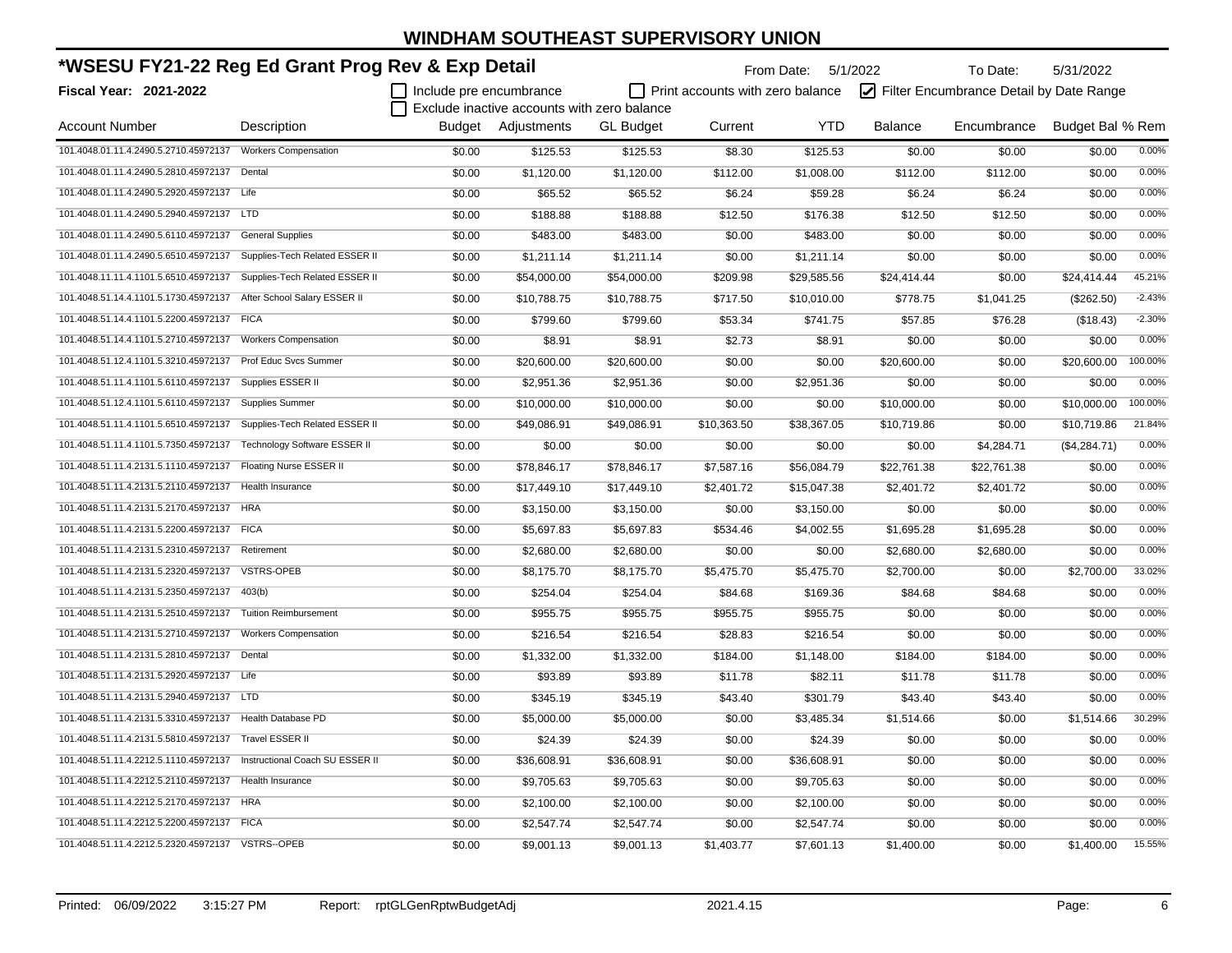| *WSESU FY21-22 Reg Ed Grant Prog Rev & Exp Detail                     |                                     |                         |                                             |                  | From Date: 5/1/2022                     |             | To Date:       | 5/31/2022                               |                  |          |
|-----------------------------------------------------------------------|-------------------------------------|-------------------------|---------------------------------------------|------------------|-----------------------------------------|-------------|----------------|-----------------------------------------|------------------|----------|
| <b>Fiscal Year: 2021-2022</b>                                         |                                     | Include pre encumbrance |                                             |                  | $\Box$ Print accounts with zero balance |             |                | Filter Encumbrance Detail by Date Range |                  |          |
|                                                                       |                                     |                         | Exclude inactive accounts with zero balance |                  |                                         |             |                |                                         |                  |          |
| <b>Account Number</b>                                                 | Description                         |                         | Budget Adjustments                          | <b>GL Budget</b> | Current                                 | <b>YTD</b>  | <b>Balance</b> | Encumbrance                             | Budget Bal % Rem |          |
| 101.4048.01.11.4.2490.5.2710.45972137 Workers Compensation            |                                     | \$0.00                  | \$125.53                                    | \$125.53         | \$8.30                                  | \$125.53    | \$0.00         | \$0.00                                  | \$0.00           | 0.00%    |
| 101.4048.01.11.4.2490.5.2810.45972137 Dental                          |                                     | \$0.00                  | \$1,120.00                                  | \$1,120.00       | \$112.00                                | \$1,008.00  | \$112.00       | \$112.00                                | \$0.00           | 0.00%    |
| 101.4048.01.11.4.2490.5.2920.45972137 Life                            |                                     | \$0.00                  | \$65.52                                     | \$65.52          | \$6.24                                  | \$59.28     | \$6.24         | \$6.24                                  | \$0.00           | 0.00%    |
| 101.4048.01.11.4.2490.5.2940.45972137 LTD                             |                                     | \$0.00                  | \$188.88                                    | \$188.88         | \$12.50                                 | \$176.38    | \$12.50        | \$12.50                                 | \$0.00           | 0.00%    |
| 101.4048.01.11.4.2490.5.6110.45972137                                 | <b>General Supplies</b>             | \$0.00                  | \$483.00                                    | \$483.00         | \$0.00                                  | \$483.00    | \$0.00         | \$0.00                                  | \$0.00           | 0.00%    |
| 101.4048.01.11.4.2490.5.6510.45972137                                 | Supplies-Tech Related ESSER II      | \$0.00                  | \$1,211.14                                  | \$1,211.14       | \$0.00                                  | \$1,211.14  | \$0.00         | \$0.00                                  | \$0.00           | 0.00%    |
| 101.4048.11.11.4.1101.5.6510.45972137                                 | Supplies-Tech Related ESSER II      | \$0.00                  | \$54,000.00                                 | \$54,000.00      | \$209.98                                | \$29,585.56 | \$24,414.44    | \$0.00                                  | \$24,414.44      | 45.21%   |
| 101.4048.51.14.4.1101.5.1730.45972137                                 | After School Salary ESSER II        | \$0.00                  | \$10,788.75                                 | \$10,788.75      | \$717.50                                | \$10,010.00 | \$778.75       | \$1,041.25                              | (\$262.50)       | $-2.43%$ |
| 101.4048.51.14.4.1101.5.2200.45972137 FICA                            |                                     | \$0.00                  | \$799.60                                    | \$799.60         | \$53.34                                 | \$741.75    | \$57.85        | \$76.28                                 | (\$18.43)        | $-2.30%$ |
| 101.4048.51.14.4.1101.5.2710.45972137                                 | <b>Workers Compensation</b>         | \$0.00                  | \$8.91                                      | \$8.91           | \$2.73                                  | \$8.91      | \$0.00         | \$0.00                                  | \$0.00           | 0.00%    |
| 101.4048.51.12.4.1101.5.3210.45972137                                 | <b>Prof Educ Svcs Summer</b>        | \$0.00                  | \$20,600.00                                 | \$20,600.00      | \$0.00                                  | \$0.00      | \$20,600.00    | \$0.00                                  | \$20,600.00      | 100.00%  |
| 101.4048.51.11.4.1101.5.6110.45972137                                 | Supplies ESSER II                   | \$0.00                  | \$2,951.36                                  | \$2,951.36       | \$0.00                                  | \$2,951.36  | \$0.00         | \$0.00                                  | \$0.00           | 0.00%    |
| 101.4048.51.12.4.1101.5.6110.45972137                                 | <b>Supplies Summer</b>              | \$0.00                  | \$10,000.00                                 | \$10,000.00      | \$0.00                                  | \$0.00      | \$10,000.00    | \$0.00                                  | \$10,000.00      | 100.00%  |
| 101.4048.51.11.4.1101.5.6510.45972137                                 | Supplies-Tech Related ESSER II      | \$0.00                  | \$49,086.91                                 | \$49,086.91      | \$10,363.50                             | \$38,367.05 | \$10,719.86    | \$0.00                                  | \$10,719.86      | 21.84%   |
| 101.4048.51.11.4.1101.5.7350.45972137                                 | <b>Technology Software ESSER II</b> | \$0.00                  | \$0.00                                      | \$0.00           | \$0.00                                  | \$0.00      | \$0.00         | \$4,284.71                              | (\$4,284.71)     | 0.00%    |
| 101.4048.51.11.4.2131.5.1110.45972137                                 | Floating Nurse ESSER II             | \$0.00                  | \$78,846.17                                 | \$78,846.17      | \$7,587.16                              | \$56,084.79 | \$22,761.38    | \$22,761.38                             | \$0.00           | 0.00%    |
| 101.4048.51.11.4.2131.5.2110.45972137                                 | Health Insurance                    | \$0.00                  | \$17,449.10                                 | \$17,449.10      | \$2,401.72                              | \$15,047.38 | \$2,401.72     | \$2,401.72                              | \$0.00           | 0.00%    |
| 101.4048.51.11.4.2131.5.2170.45972137 HRA                             |                                     | \$0.00                  | \$3,150.00                                  | \$3,150.00       | \$0.00                                  | \$3,150.00  | \$0.00         | \$0.00                                  | \$0.00           | 0.00%    |
| 101.4048.51.11.4.2131.5.2200.45972137 FICA                            |                                     | \$0.00                  | \$5,697.83                                  | \$5,697.83       | \$534.46                                | \$4,002.55  | \$1,695.28     | \$1,695.28                              | \$0.00           | 0.00%    |
| 101.4048.51.11.4.2131.5.2310.45972137 Retirement                      |                                     | \$0.00                  | \$2,680.00                                  | \$2,680.00       | \$0.00                                  | \$0.00      | \$2,680.00     | \$2,680.00                              | \$0.00           | 0.00%    |
| 101.4048.51.11.4.2131.5.2320.45972137                                 | <b>VSTRS-OPEB</b>                   | \$0.00                  | \$8,175.70                                  | \$8,175.70       | \$5,475.70                              | \$5,475.70  | \$2,700.00     | \$0.00                                  | \$2,700.00       | 33.02%   |
| 101.4048.51.11.4.2131.5.2350.45972137  403(b)                         |                                     | \$0.00                  | \$254.04                                    | \$254.04         | \$84.68                                 | \$169.36    | \$84.68        | \$84.68                                 | \$0.00           | 0.00%    |
| 101.4048.51.11.4.2131.5.2510.45972137                                 | <b>Tuition Reimbursement</b>        | \$0.00                  | \$955.75                                    | \$955.75         | \$955.75                                | \$955.75    | \$0.00         | \$0.00                                  | \$0.00           | 0.00%    |
| 101.4048.51.11.4.2131.5.2710.45972137                                 | <b>Workers Compensation</b>         | \$0.00                  | \$216.54                                    | \$216.54         | \$28.83                                 | \$216.54    | \$0.00         | \$0.00                                  | \$0.00           | 0.00%    |
| 101.4048.51.11.4.2131.5.2810.45972137 Dental                          |                                     | \$0.00                  | \$1,332.00                                  | \$1,332.00       | \$184.00                                | \$1,148.00  | \$184.00       | \$184.00                                | \$0.00           | 0.00%    |
| 101.4048.51.11.4.2131.5.2920.45972137 Life                            |                                     | \$0.00                  | \$93.89                                     | \$93.89          | \$11.78                                 | \$82.11     | \$11.78        | \$11.78                                 | \$0.00           | 0.00%    |
| 101.4048.51.11.4.2131.5.2940.45972137 LTD                             |                                     | \$0.00                  | \$345.19                                    | \$345.19         | \$43.40                                 | \$301.79    | \$43.40        | \$43.40                                 | \$0.00           | 0.00%    |
| 101.4048.51.11.4.2131.5.3310.45972137 Health Database PD              |                                     | \$0.00                  | \$5,000.00                                  | \$5,000.00       | \$0.00                                  | \$3,485.34  | \$1,514.66     | \$0.00                                  | \$1,514.66       | 30.29%   |
| 101.4048.51.11.4.2131.5.5810.45972137 Travel ESSER II                 |                                     | \$0.00                  | \$24.39                                     | \$24.39          | \$0.00                                  | \$24.39     | \$0.00         | \$0.00                                  | \$0.00           | 0.00%    |
| 101.4048.51.11.4.2212.5.1110.45972137 Instructional Coach SU ESSER II |                                     | \$0.00                  | \$36,608.91                                 | \$36,608.91      | \$0.00                                  | \$36,608.91 | \$0.00         | \$0.00                                  | \$0.00           | 0.00%    |
| 101.4048.51.11.4.2212.5.2110.45972137   Health Insurance              |                                     | \$0.00                  | \$9,705.63                                  | \$9,705.63       | \$0.00                                  | \$9,705.63  | \$0.00         | \$0.00                                  | \$0.00           | 0.00%    |
| 101.4048.51.11.4.2212.5.2170.45972137 HRA                             |                                     | \$0.00                  | \$2,100.00                                  | \$2,100.00       | \$0.00                                  | \$2,100.00  | \$0.00         | \$0.00                                  | \$0.00           | 0.00%    |
| 101.4048.51.11.4.2212.5.2200.45972137 FICA                            |                                     | \$0.00                  | \$2,547.74                                  | \$2,547.74       | \$0.00                                  | \$2,547.74  | \$0.00         | \$0.00                                  | \$0.00           | 0.00%    |
| 101.4048.51.11.4.2212.5.2320.45972137 VSTRS--OPEB                     |                                     | \$0.00                  | \$9,001.13                                  | \$9,001.13       | \$1,403.77                              | \$7,601.13  | \$1,400.00     | \$0.00                                  | \$1,400.00       | 15.55%   |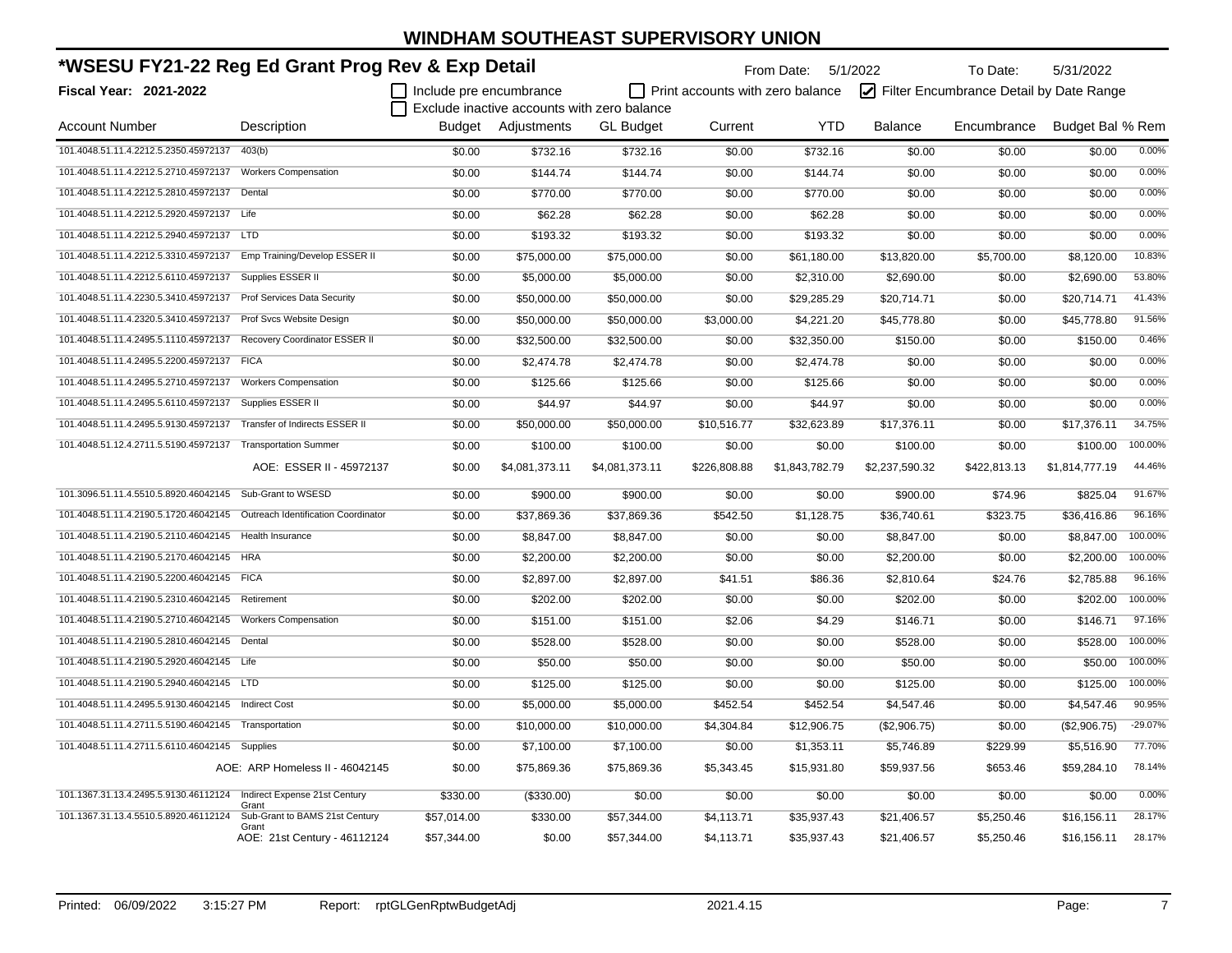| *WSESU FY21-22 Reg Ed Grant Prog Rev & Exp Detail                          |                                       |                         |                    | From Date: 5/1/2022                         |                                         | To Date:       | 5/31/2022      |                                         |                  |         |
|----------------------------------------------------------------------------|---------------------------------------|-------------------------|--------------------|---------------------------------------------|-----------------------------------------|----------------|----------------|-----------------------------------------|------------------|---------|
| <b>Fiscal Year: 2021-2022</b>                                              |                                       | Include pre encumbrance |                    |                                             | $\Box$ Print accounts with zero balance |                |                | Filter Encumbrance Detail by Date Range |                  |         |
|                                                                            |                                       |                         |                    | Exclude inactive accounts with zero balance |                                         |                |                |                                         |                  |         |
| <b>Account Number</b>                                                      | Description                           |                         | Budget Adjustments | <b>GL</b> Budget                            | Current                                 | <b>YTD</b>     | <b>Balance</b> | Encumbrance                             | Budget Bal % Rem |         |
| 101.4048.51.11.4.2212.5.2350.45972137                                      | 403(b)                                | \$0.00                  | \$732.16           | \$732.16                                    | \$0.00                                  | \$732.16       | \$0.00         | \$0.00                                  | \$0.00           | 0.00%   |
| 101.4048.51.11.4.2212.5.2710.45972137 Workers Compensation                 |                                       | \$0.00                  | \$144.74           | \$144.74                                    | \$0.00                                  | \$144.74       | \$0.00         | \$0.00                                  | \$0.00           | 0.00%   |
| 101.4048.51.11.4.2212.5.2810.45972137 Dental                               |                                       | \$0.00                  | \$770.00           | \$770.00                                    | \$0.00                                  | \$770.00       | \$0.00         | \$0.00                                  | \$0.00           | 0.00%   |
| 101.4048.51.11.4.2212.5.2920.45972137 Life                                 |                                       | \$0.00                  | \$62.28            | \$62.28                                     | \$0.00                                  | \$62.28        | \$0.00         | \$0.00                                  | \$0.00           | 0.00%   |
| 101.4048.51.11.4.2212.5.2940.45972137 LTD                                  |                                       | \$0.00                  | \$193.32           | \$193.32                                    | \$0.00                                  | \$193.32       | \$0.00         | \$0.00                                  | \$0.00           | 0.00%   |
| 101.4048.51.11.4.2212.5.3310.45972137 Emp Training/Develop ESSER II        |                                       | \$0.00                  | \$75,000.00        | \$75,000.00                                 | \$0.00                                  | \$61,180.00    | \$13,820.00    | \$5,700.00                              | \$8,120.00       | 10.83%  |
| 101.4048.51.11.4.2212.5.6110.45972137 Supplies ESSER II                    |                                       | \$0.00                  | \$5,000.00         | \$5,000.00                                  | \$0.00                                  | \$2,310.00     | \$2,690.00     | \$0.00                                  | \$2,690.00       | 53.80%  |
| 101.4048.51.11.4.2230.5.3410.45972137 Prof Services Data Security          |                                       | \$0.00                  | \$50,000.00        | \$50,000.00                                 | \$0.00                                  | \$29,285.29    | \$20,714.71    | \$0.00                                  | \$20,714.71      | 41.43%  |
| 101.4048.51.11.4.2320.5.3410.45972137 Prof Svcs Website Design             |                                       | \$0.00                  | \$50,000.00        | \$50,000.00                                 | \$3,000.00                              | \$4,221.20     | \$45,778.80    | \$0.00                                  | \$45,778.80      | 91.56%  |
| 101.4048.51.11.4.2495.5.1110.45972137 Recovery Coordinator ESSER II        |                                       | \$0.00                  | \$32,500.00        | \$32,500.00                                 | \$0.00                                  | \$32,350.00    | \$150.00       | \$0.00                                  | \$150.00         | 0.46%   |
| 101.4048.51.11.4.2495.5.2200.45972137 FICA                                 |                                       | \$0.00                  | \$2,474.78         | \$2,474.78                                  | \$0.00                                  | \$2,474.78     | \$0.00         | \$0.00                                  | \$0.00           | 0.00%   |
| 101.4048.51.11.4.2495.5.2710.45972137 Workers Compensation                 |                                       | \$0.00                  | \$125.66           | \$125.66                                    | \$0.00                                  | \$125.66       | \$0.00         | \$0.00                                  | \$0.00           | 0.00%   |
| 101.4048.51.11.4.2495.5.6110.45972137 Supplies ESSER II                    |                                       | \$0.00                  | \$44.97            | \$44.97                                     | \$0.00                                  | \$44.97        | \$0.00         | \$0.00                                  | \$0.00           | 0.00%   |
| 101.4048.51.11.4.2495.5.9130.45972137 Transfer of Indirects ESSER II       |                                       | \$0.00                  | \$50,000.00        | \$50,000.00                                 | \$10,516.77                             | \$32,623.89    | \$17,376.11    | \$0.00                                  | \$17,376.11      | 34.75%  |
| 101.4048.51.12.4.2711.5.5190.45972137 Transportation Summer                |                                       | \$0.00                  | \$100.00           | \$100.00                                    | \$0.00                                  | \$0.00         | \$100.00       | \$0.00                                  | \$100.00         | 100.00% |
|                                                                            | AOE: ESSER II - 45972137              | \$0.00                  | \$4,081,373.11     | \$4,081,373.11                              | \$226,808.88                            | \$1,843,782.79 | \$2,237,590.32 | \$422,813.13                            | \$1,814,777.19   | 44.46%  |
| 101.3096.51.11.4.5510.5.8920.46042145                                      | Sub-Grant to WSESD                    | \$0.00                  | \$900.00           | \$900.00                                    | \$0.00                                  | \$0.00         | \$900.00       | \$74.96                                 | \$825.04         | 91.67%  |
| 101.4048.51.11.4.2190.5.1720.46042145  Outreach Identification Coordinator |                                       | \$0.00                  | \$37,869.36        | \$37,869.36                                 | \$542.50                                | \$1,128.75     | \$36,740.61    | \$323.75                                | \$36,416.86      | 96.16%  |
| 101.4048.51.11.4.2190.5.2110.46042145 Health Insurance                     |                                       | \$0.00                  | \$8,847.00         | \$8,847.00                                  | \$0.00                                  | \$0.00         | \$8,847.00     | \$0.00                                  | \$8,847.00       | 100.00% |
| 101.4048.51.11.4.2190.5.2170.46042145 HRA                                  |                                       | \$0.00                  | \$2,200.00         | \$2,200.00                                  | \$0.00                                  | \$0.00         | \$2,200.00     | \$0.00                                  | \$2,200.00       | 100.00% |
| 101.4048.51.11.4.2190.5.2200.46042145 FICA                                 |                                       | \$0.00                  | \$2,897.00         | \$2,897.00                                  | \$41.51                                 | \$86.36        | \$2,810.64     | \$24.76                                 | \$2,785.88       | 96.16%  |
| 101.4048.51.11.4.2190.5.2310.46042145 Retirement                           |                                       | \$0.00                  | \$202.00           | \$202.00                                    | \$0.00                                  | \$0.00         | \$202.00       | \$0.00                                  | \$202.00         | 100.00% |
| 101.4048.51.11.4.2190.5.2710.46042145 Workers Compensation                 |                                       | \$0.00                  | \$151.00           | \$151.00                                    | \$2.06                                  | \$4.29         | \$146.71       | \$0.00                                  | \$146.71         | 97.16%  |
| 101.4048.51.11.4.2190.5.2810.46042145 Dental                               |                                       | \$0.00                  | \$528.00           | \$528.00                                    | \$0.00                                  | \$0.00         | \$528.00       | \$0.00                                  | \$528.00         | 100.00% |
| 101.4048.51.11.4.2190.5.2920.46042145 Life                                 |                                       | \$0.00                  | \$50.00            | \$50.00                                     | \$0.00                                  | \$0.00         | \$50.00        | \$0.00                                  | \$50.00          | 100.00% |
| 101.4048.51.11.4.2190.5.2940.46042145 LTD                                  |                                       | \$0.00                  | \$125.00           | \$125.00                                    | \$0.00                                  | \$0.00         | \$125.00       | \$0.00                                  | \$125.00         | 100.00% |
| 101.4048.51.11.4.2495.5.9130.46042145    Indirect Cost                     |                                       | \$0.00                  | \$5,000.00         | \$5,000.00                                  | \$452.54                                | \$452.54       | \$4,547.46     | \$0.00                                  | \$4,547.46       | 90.95%  |
| 101.4048.51.11.4.2711.5.5190.46042145 Transportation                       |                                       | \$0.00                  | \$10,000.00        | \$10,000.00                                 | \$4,304.84                              | \$12,906.75    | (\$2,906.75)   | \$0.00                                  | (\$2,906.75)     | -29.07% |
| 101.4048.51.11.4.2711.5.6110.46042145 Supplies                             |                                       | \$0.00                  | \$7,100.00         | \$7,100.00                                  | \$0.00                                  | \$1,353.11     | \$5,746.89     | \$229.99                                | \$5,516.90       | 77.70%  |
|                                                                            | AOE: ARP Homeless II - 46042145       | \$0.00                  | \$75,869.36        | \$75,869.36                                 | \$5,343.45                              | \$15,931.80    | \$59,937.56    | \$653.46                                | \$59,284.10      | 78.14%  |
| 101.1367.31.13.4.2495.5.9130.46112124 Indirect Expense 21st Century        | Grant                                 | \$330.00                | (\$330.00)         | \$0.00                                      | \$0.00                                  | \$0.00         | \$0.00         | \$0.00                                  | \$0.00           | 0.00%   |
| 101.1367.31.13.4.5510.5.8920.46112124                                      | Sub-Grant to BAMS 21st Century        | \$57,014.00             | \$330.00           | \$57,344.00                                 | \$4,113.71                              | \$35,937.43    | \$21,406.57    | \$5,250.46                              | \$16,156.11      | 28.17%  |
|                                                                            | Grant<br>AOE: 21st Century - 46112124 | \$57,344.00             | \$0.00             | \$57,344.00                                 | \$4,113.71                              | \$35,937.43    | \$21,406.57    | \$5,250.46                              | \$16,156.11      | 28.17%  |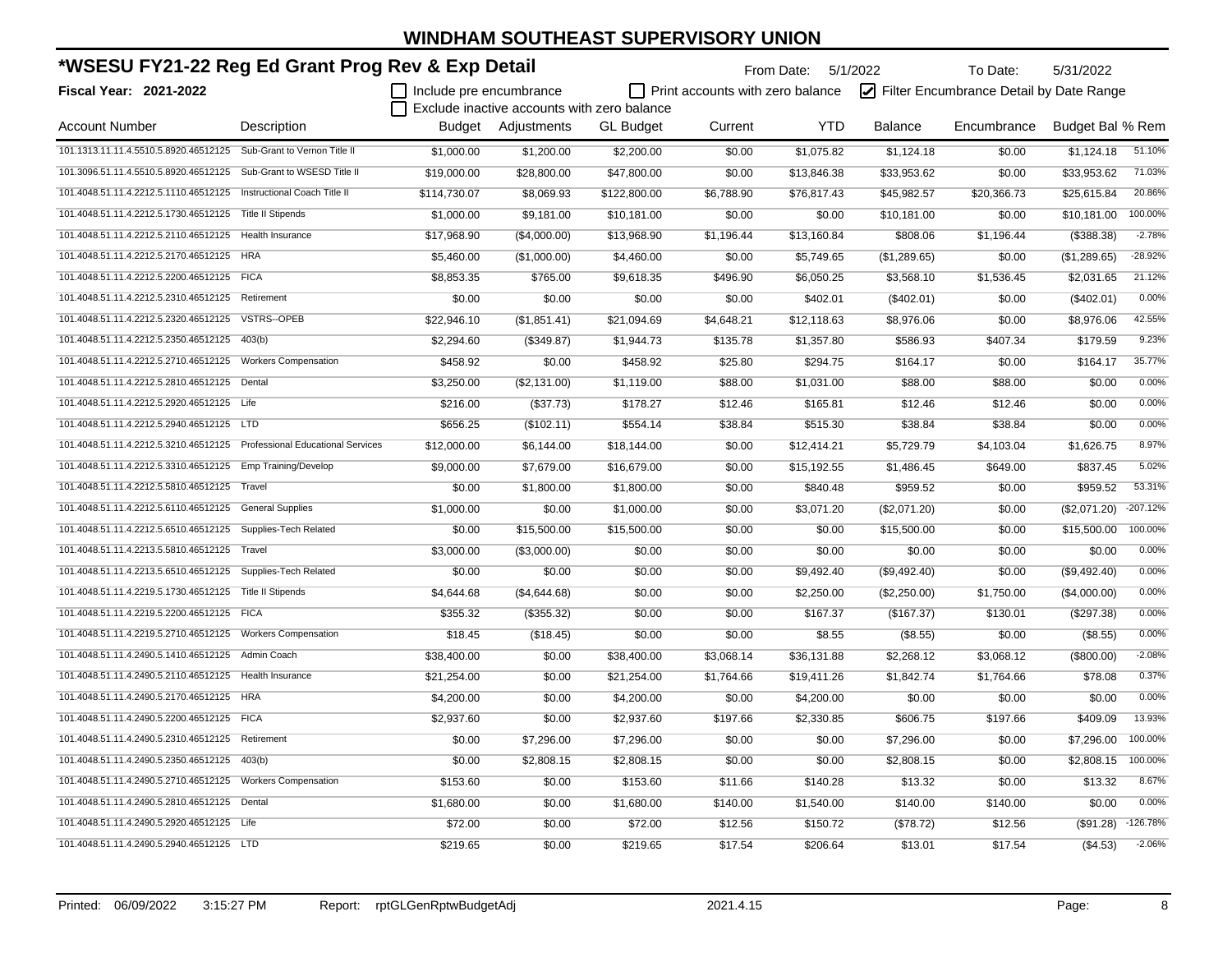| *WSESU FY21-22 Reg Ed Grant Prog Rev & Exp Detail                        |                              | From Date: 5/1/2022<br>To Date: |                                             |                  |                                  |             | 5/31/2022    |                                         |                  |            |
|--------------------------------------------------------------------------|------------------------------|---------------------------------|---------------------------------------------|------------------|----------------------------------|-------------|--------------|-----------------------------------------|------------------|------------|
| Fiscal Year: 2021-2022                                                   |                              | Include pre encumbrance         |                                             |                  | Print accounts with zero balance |             |              | Filter Encumbrance Detail by Date Range |                  |            |
|                                                                          |                              |                                 | Exclude inactive accounts with zero balance |                  |                                  |             |              |                                         |                  |            |
| <b>Account Number</b>                                                    | Description                  |                                 | Budget Adjustments                          | <b>GL</b> Budget | Current                          | <b>YTD</b>  | Balance      | Encumbrance                             | Budget Bal % Rem |            |
| 101.1313.11.11.4.5510.5.8920.46512125 Sub-Grant to Vernon Title II       |                              | \$1,000.00                      | \$1,200.00                                  | \$2,200.00       | \$0.00                           | \$1,075.82  | \$1,124.18   | \$0.00                                  | \$1,124.18       | 51.10%     |
| 101.3096.51.11.4.5510.5.8920.46512125                                    | Sub-Grant to WSESD Title II  | \$19,000.00                     | \$28,800.00                                 | \$47,800.00      | \$0.00                           | \$13,846.38 | \$33,953.62  | \$0.00                                  | \$33,953.62      | 71.03%     |
| 101.4048.51.11.4.2212.5.1110.46512125                                    | Instructional Coach Title II | \$114,730.07                    | \$8,069.93                                  | \$122,800.00     | \$6,788.90                       | \$76,817.43 | \$45,982.57  | \$20,366.73                             | \$25,615.84      | 20.86%     |
| 101.4048.51.11.4.2212.5.1730.46512125                                    | <b>Title II Stipends</b>     | \$1,000.00                      | \$9,181.00                                  | \$10,181.00      | \$0.00                           | \$0.00      | \$10,181.00  | \$0.00                                  | \$10,181.00      | 100.00%    |
| 101.4048.51.11.4.2212.5.2110.46512125                                    | Health Insurance             | \$17,968.90                     | (\$4,000.00)                                | \$13,968.90      | \$1,196.44                       | \$13,160.84 | \$808.06     | \$1,196.44                              | (\$388.38)       | $-2.78%$   |
| 101.4048.51.11.4.2212.5.2170.46512125                                    | <b>HRA</b>                   | \$5,460.00                      | (\$1,000.00)                                | \$4,460.00       | \$0.00                           | \$5,749.65  | (\$1,289.65) | \$0.00                                  | (\$1,289.65)     | $-28.92%$  |
| 101.4048.51.11.4.2212.5.2200.46512125 FICA                               |                              | \$8,853.35                      | \$765.00                                    | \$9,618.35       | \$496.90                         | \$6,050.25  | \$3,568.10   | \$1,536.45                              | \$2,031.65       | 21.12%     |
| 101.4048.51.11.4.2212.5.2310.46512125                                    | Retirement                   | \$0.00                          | \$0.00                                      | \$0.00           | \$0.00                           | \$402.01    | (\$402.01)   | \$0.00                                  | (\$402.01)       | 0.00%      |
| 101.4048.51.11.4.2212.5.2320.46512125                                    | VSTRS--OPEB                  | \$22,946.10                     | (\$1,851.41)                                | \$21,094.69      | \$4,648.21                       | \$12,118.63 | \$8,976.06   | \$0.00                                  | \$8,976.06       | 42.55%     |
| 101.4048.51.11.4.2212.5.2350.46512125                                    | 403(b)                       | \$2,294.60                      | (\$349.87)                                  | \$1,944.73       | \$135.78                         | \$1,357.80  | \$586.93     | \$407.34                                | \$179.59         | 9.23%      |
| 101.4048.51.11.4.2212.5.2710.46512125                                    | <b>Workers Compensation</b>  | \$458.92                        | \$0.00                                      | \$458.92         | \$25.80                          | \$294.75    | \$164.17     | \$0.00                                  | \$164.17         | 35.77%     |
| 101.4048.51.11.4.2212.5.2810.46512125                                    | Dental                       | \$3,250.00                      | (\$2,131.00)                                | \$1,119.00       | \$88.00                          | \$1,031.00  | \$88.00      | \$88.00                                 | \$0.00           | 0.00%      |
| 101.4048.51.11.4.2212.5.2920.46512125 Life                               |                              | \$216.00                        | (\$37.73)                                   | \$178.27         | \$12.46                          | \$165.81    | \$12.46      | \$12.46                                 | \$0.00           | 0.00%      |
| 101.4048.51.11.4.2212.5.2940.46512125 LTD                                |                              | \$656.25                        | (\$102.11)                                  | \$554.14         | \$38.84                          | \$515.30    | \$38.84      | \$38.84                                 | \$0.00           | 0.00%      |
| 101.4048.51.11.4.2212.5.3210.46512125  Professional Educational Services |                              | \$12,000.00                     | \$6,144.00                                  | \$18,144.00      | \$0.00                           | \$12,414.21 | \$5,729.79   | \$4,103.04                              | \$1,626.75       | 8.97%      |
| 101.4048.51.11.4.2212.5.3310.46512125 Emp Training/Develop               |                              | \$9,000.00                      | \$7,679.00                                  | \$16,679.00      | \$0.00                           | \$15,192.55 | \$1,486.45   | \$649.00                                | \$837.45         | 5.02%      |
| 101.4048.51.11.4.2212.5.5810.46512125 Travel                             |                              | \$0.00                          | \$1,800.00                                  | \$1,800.00       | \$0.00                           | \$840.48    | \$959.52     | \$0.00                                  | \$959.52         | 53.31%     |
| 101.4048.51.11.4.2212.5.6110.46512125 General Supplies                   |                              | \$1,000.00                      | \$0.00                                      | \$1,000.00       | \$0.00                           | \$3,071.20  | (\$2,071.20) | \$0.00                                  | (\$2,071.20)     | $-207.12%$ |
| 101.4048.51.11.4.2212.5.6510.46512125                                    | Supplies-Tech Related        | \$0.00                          | \$15,500.00                                 | \$15,500.00      | \$0.00                           | \$0.00      | \$15,500.00  | \$0.00                                  | \$15,500.00      | 100.00%    |
| 101.4048.51.11.4.2213.5.5810.46512125                                    | Travel                       | \$3,000.00                      | (\$3,000.00)                                | \$0.00           | \$0.00                           | \$0.00      | \$0.00       | \$0.00                                  | \$0.00           | 0.00%      |
| 101.4048.51.11.4.2213.5.6510.46512125                                    | Supplies-Tech Related        | \$0.00                          | \$0.00                                      | \$0.00           | \$0.00                           | \$9,492.40  | (\$9,492.40) | \$0.00                                  | (\$9,492.40)     | 0.00%      |
| 101.4048.51.11.4.2219.5.1730.46512125                                    | <b>Title II Stipends</b>     | \$4,644.68                      | (\$4,644.68)                                | \$0.00           | \$0.00                           | \$2,250.00  | (\$2,250.00) | \$1,750.00                              | (\$4,000.00)     | 0.00%      |
| 101.4048.51.11.4.2219.5.2200.46512125 FICA                               |                              | \$355.32                        | (\$355.32)                                  | \$0.00           | \$0.00                           | \$167.37    | (\$167.37)   | \$130.01                                | (\$297.38)       | 0.00%      |
| 101.4048.51.11.4.2219.5.2710.46512125 Workers Compensation               |                              | \$18.45                         | (\$18.45)                                   | \$0.00           | \$0.00                           | \$8.55      | (\$8.55)     | \$0.00                                  | (\$8.55)         | 0.00%      |
| 101.4048.51.11.4.2490.5.1410.46512125 Admin Coach                        |                              | \$38.400.00                     | \$0.00                                      | \$38,400.00      | \$3,068.14                       | \$36,131.88 | \$2,268.12   | \$3,068.12                              | (\$800.00)       | $-2.08%$   |
| 101.4048.51.11.4.2490.5.2110.46512125 Health Insurance                   |                              | \$21,254.00                     | \$0.00                                      | \$21,254.00      | \$1,764.66                       | \$19,411.26 | \$1,842.74   | \$1,764.66                              | \$78.08          | 0.37%      |
| 101.4048.51.11.4.2490.5.2170.46512125 HRA                                |                              | \$4,200.00                      | \$0.00                                      | \$4,200.00       | \$0.00                           | \$4,200.00  | \$0.00       | \$0.00                                  | \$0.00           | 0.00%      |
| 101.4048.51.11.4.2490.5.2200.46512125 FICA                               |                              | \$2,937.60                      | \$0.00                                      | \$2,937.60       | \$197.66                         | \$2,330.85  | \$606.75     | \$197.66                                | \$409.09         | 13.93%     |
| 101.4048.51.11.4.2490.5.2310.46512125                                    | Retirement                   | \$0.00                          | \$7,296.00                                  | \$7,296.00       | \$0.00                           | \$0.00      | \$7,296.00   | \$0.00                                  | \$7,296.00       | 100.00%    |
| 101.4048.51.11.4.2490.5.2350.46512125 403(b)                             |                              | \$0.00                          | \$2,808.15                                  | \$2,808.15       | \$0.00                           | \$0.00      | \$2,808.15   | \$0.00                                  | \$2,808.15       | 100.00%    |
| 101.4048.51.11.4.2490.5.2710.46512125 Workers Compensation               |                              | \$153.60                        | \$0.00                                      | \$153.60         | \$11.66                          | \$140.28    | \$13.32      | \$0.00                                  | \$13.32          | 8.67%      |
| 101.4048.51.11.4.2490.5.2810.46512125 Dental                             |                              | \$1,680.00                      | \$0.00                                      | \$1,680.00       | \$140.00                         | \$1,540.00  | \$140.00     | \$140.00                                | \$0.00           | 0.00%      |
| 101.4048.51.11.4.2490.5.2920.46512125 Life                               |                              | \$72.00                         | \$0.00                                      | \$72.00          | \$12.56                          | \$150.72    | (\$78.72)    | \$12.56                                 | (\$91.28)        | $-126.78%$ |
| 101.4048.51.11.4.2490.5.2940.46512125 LTD                                |                              | \$219.65                        | \$0.00                                      | \$219.65         | \$17.54                          | \$206.64    | \$13.01      | \$17.54                                 | (\$4.53)         | $-2.06%$   |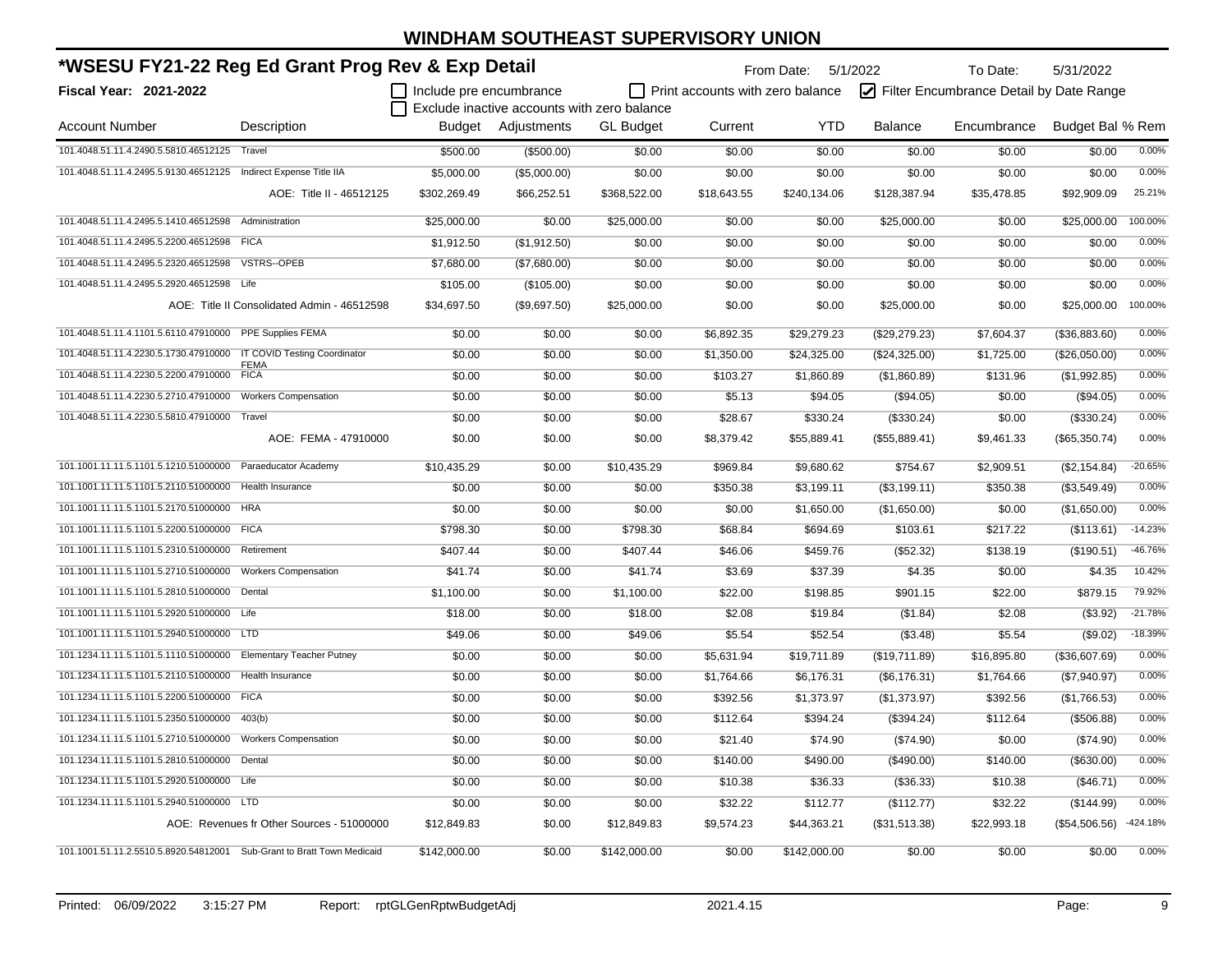| *WSESU FY21-22 Reg Ed Grant Prog Rev & Exp Detail                      |                                             |                         |                                             |                  |                                         | From Date: 5/1/2022 |                | To Date:                                | 5/31/2022        |            |
|------------------------------------------------------------------------|---------------------------------------------|-------------------------|---------------------------------------------|------------------|-----------------------------------------|---------------------|----------------|-----------------------------------------|------------------|------------|
| Fiscal Year: 2021-2022                                                 |                                             | Include pre encumbrance |                                             |                  | $\Box$ Print accounts with zero balance |                     |                | Filter Encumbrance Detail by Date Range |                  |            |
|                                                                        |                                             |                         | Exclude inactive accounts with zero balance |                  |                                         |                     |                |                                         |                  |            |
| <b>Account Number</b>                                                  | Description                                 | Budget                  | Adjustments                                 | <b>GL Budget</b> | Current                                 | <b>YTD</b>          | <b>Balance</b> | Encumbrance                             | Budget Bal % Rem |            |
| 101.4048.51.11.4.2490.5.5810.46512125                                  | Travel                                      | \$500.00                | (\$500.00)                                  | \$0.00           | \$0.00                                  | \$0.00              | \$0.00         | \$0.00                                  | \$0.00           | 0.00%      |
| 101.4048.51.11.4.2495.5.9130.46512125                                  | Indirect Expense Title IIA                  | \$5,000.00              | (\$5,000.00)                                | \$0.00           | \$0.00                                  | \$0.00              | \$0.00         | \$0.00                                  | \$0.00           | 0.00%      |
|                                                                        | AOE: Title II - 46512125                    | \$302,269.49            | \$66,252.51                                 | \$368,522.00     | \$18,643.55                             | \$240,134.06        | \$128,387.94   | \$35,478.85                             | \$92,909.09      | 25.21%     |
| 101.4048.51.11.4.2495.5.1410.46512598                                  | Administration                              | \$25,000.00             | \$0.00                                      | \$25,000.00      | \$0.00                                  | \$0.00              | \$25,000.00    | \$0.00                                  | \$25,000.00      | 100.00%    |
| 101.4048.51.11.4.2495.5.2200.46512598 FICA                             |                                             | \$1,912.50              | (\$1,912.50)                                | \$0.00           | \$0.00                                  | \$0.00              | \$0.00         | \$0.00                                  | \$0.00           | 0.00%      |
| 101.4048.51.11.4.2495.5.2320.46512598                                  | <b>VSTRS--OPEB</b>                          | \$7,680.00              | (\$7,680.00)                                | \$0.00           | \$0.00                                  | \$0.00              | \$0.00         | \$0.00                                  | \$0.00           | 0.00%      |
| 101.4048.51.11.4.2495.5.2920.46512598 Life                             |                                             | \$105.00                | (\$105.00)                                  | \$0.00           | \$0.00                                  | \$0.00              | \$0.00         | \$0.00                                  | \$0.00           | 0.00%      |
|                                                                        | AOE: Title II Consolidated Admin - 46512598 | \$34,697.50             | (\$9,697.50)                                | \$25,000.00      | \$0.00                                  | \$0.00              | \$25,000.00    | \$0.00                                  | \$25,000.00      | 100.00%    |
| 101.4048.51.11.4.1101.5.6110.47910000 PPE Supplies FEMA                |                                             | \$0.00                  | \$0.00                                      | \$0.00           | \$6,892.35                              | \$29,279.23         | (\$29,279.23)  | \$7,604.37                              | (\$36,883.60)    | 0.00%      |
| 101.4048.51.11.4.2230.5.1730.47910000                                  | IT COVID Testing Coordinator                | \$0.00                  | \$0.00                                      | \$0.00           | \$1,350.00                              | \$24,325.00         | (\$24,325.00)  | \$1,725.00                              | (\$26,050.00)    | 0.00%      |
| 101.4048.51.11.4.2230.5.2200.47910000                                  | <b>FEMA</b><br><b>FICA</b>                  | \$0.00                  | \$0.00                                      | \$0.00           | \$103.27                                | \$1,860.89          | (\$1,860.89)   | \$131.96                                | (\$1,992.85)     | 0.00%      |
| 101.4048.51.11.4.2230.5.2710.47910000                                  | <b>Workers Compensation</b>                 | \$0.00                  | \$0.00                                      | \$0.00           | \$5.13                                  | \$94.05             | (\$94.05)      | \$0.00                                  | (\$94.05)        | 0.00%      |
| 101.4048.51.11.4.2230.5.5810.47910000 Travel                           |                                             | \$0.00                  | \$0.00                                      | \$0.00           | \$28.67                                 | \$330.24            | (\$330.24)     | \$0.00                                  | (\$330.24)       | 0.00%      |
|                                                                        | AOE: FEMA - 47910000                        | \$0.00                  | \$0.00                                      | \$0.00           | \$8,379.42                              | \$55,889.41         | (\$55,889.41)  | \$9,461.33                              | (\$65,350.74)    | 0.00%      |
| 101.1001.11.11.5.1101.5.1210.51000000 Paraeducator Academy             |                                             | \$10,435.29             | \$0.00                                      | \$10,435.29      | \$969.84                                | \$9,680.62          | \$754.67       | \$2,909.51                              | (\$2,154.84)     | $-20.65%$  |
| 101.1001.11.11.5.1101.5.2110.51000000 Health Insurance                 |                                             | \$0.00                  | \$0.00                                      | \$0.00           | \$350.38                                | \$3,199.11          | (\$3,199.11)   | \$350.38                                | (\$3,549.49)     | 0.00%      |
| 101.1001.11.11.5.1101.5.2170.51000000                                  | <b>HRA</b>                                  | \$0.00                  | \$0.00                                      | \$0.00           | \$0.00                                  | \$1,650.00          | (\$1,650.00)   | \$0.00                                  | (\$1,650.00)     | 0.00%      |
| 101.1001.11.11.5.1101.5.2200.51000000 FICA                             |                                             | \$798.30                | \$0.00                                      | \$798.30         | \$68.84                                 | \$694.69            | \$103.61       | \$217.22                                | (\$113.61)       | $-14.23%$  |
| 101.1001.11.11.5.1101.5.2310.51000000                                  | Retirement                                  | \$407.44                | \$0.00                                      | \$407.44         | \$46.06                                 | \$459.76            | (\$52.32)      | \$138.19                                | (\$190.51)       | -46.76%    |
| 101.1001.11.11.5.1101.5.2710.51000000                                  | <b>Workers Compensation</b>                 | \$41.74                 | \$0.00                                      | \$41.74          | \$3.69                                  | \$37.39             | \$4.35         | \$0.00                                  | \$4.35           | 10.42%     |
| 101.1001.11.11.5.1101.5.2810.51000000                                  | Dental                                      | \$1,100.00              | \$0.00                                      | \$1,100.00       | \$22.00                                 | \$198.85            | \$901.15       | \$22.00                                 | \$879.15         | 79.92%     |
| 101.1001.11.11.5.1101.5.2920.51000000                                  | Life                                        | \$18.00                 | \$0.00                                      | \$18.00          | \$2.08                                  | \$19.84             | (\$1.84)       | \$2.08                                  | (\$3.92)         | $-21.78%$  |
| 101.1001.11.11.5.1101.5.2940.51000000 LTD                              |                                             | \$49.06                 | \$0.00                                      | \$49.06          | \$5.54                                  | \$52.54             | (\$3.48)       | \$5.54                                  | (\$9.02)         | $-18.39%$  |
| 101.1234.11.11.5.1101.5.1110.51000000                                  | <b>Elementary Teacher Putney</b>            | \$0.00                  | \$0.00                                      | \$0.00           | \$5,631.94                              | \$19,711.89         | (\$19,711.89)  | \$16,895.80                             | (\$36,607.69)    | 0.00%      |
| 101.1234.11.11.5.1101.5.2110.51000000                                  | <b>Health Insurance</b>                     | \$0.00                  | \$0.00                                      | \$0.00           | \$1,764.66                              | \$6,176.31          | (\$6,176.31)   | \$1,764.66                              | (\$7,940.97)     | 0.00%      |
| 101.1234.11.11.5.1101.5.2200.51000000 FICA                             |                                             | \$0.00                  | \$0.00                                      | \$0.00           | \$392.56                                | \$1,373.97          | (\$1,373.97)   | \$392.56                                | (\$1,766.53)     | 0.00%      |
| 101.1234.11.11.5.1101.5.2350.51000000                                  | 403(b)                                      | \$0.00                  | \$0.00                                      | \$0.00           | \$112.64                                | \$394.24            | (\$394.24)     | \$112.64                                | ( \$506.88)      | 0.00%      |
| 101.1234.11.11.5.1101.5.2710.51000000                                  | <b>Workers Compensation</b>                 | \$0.00                  | \$0.00                                      | \$0.00           | \$21.40                                 | \$74.90             | (\$74.90)      | \$0.00                                  | (\$74.90)        | 0.00%      |
| 101.1234.11.11.5.1101.5.2810.51000000                                  | Dental                                      | \$0.00                  | \$0.00                                      | \$0.00           | \$140.00                                | \$490.00            | $(\$490.00)$   | \$140.00                                | (\$630.00)       | 0.00%      |
| 101.1234.11.11.5.1101.5.2920.51000000 Life                             |                                             | \$0.00                  | \$0.00                                      | \$0.00           | \$10.38                                 | \$36.33             | $(\$36.33)$    | \$10.38                                 | (\$46.71)        | 0.00%      |
| 101.1234.11.11.5.1101.5.2940.51000000 LTD                              |                                             | \$0.00                  | \$0.00                                      | \$0.00           | \$32.22                                 | \$112.77            | (\$112.77)     | \$32.22                                 | (\$144.99)       | 0.00%      |
|                                                                        | AOE: Revenues fr Other Sources - 51000000   | \$12,849.83             | \$0.00                                      | \$12,849.83      | \$9,574.23                              | \$44,363.21         | (\$31,513.38)  | \$22,993.18                             | (\$54,506.56)    | $-424.18%$ |
| 101.1001.51.11.2.5510.5.8920.54812001 Sub-Grant to Bratt Town Medicaid |                                             | \$142,000.00            | \$0.00                                      | \$142,000.00     | \$0.00                                  | \$142,000.00        | \$0.00         | \$0.00                                  | \$0.00           | 0.00%      |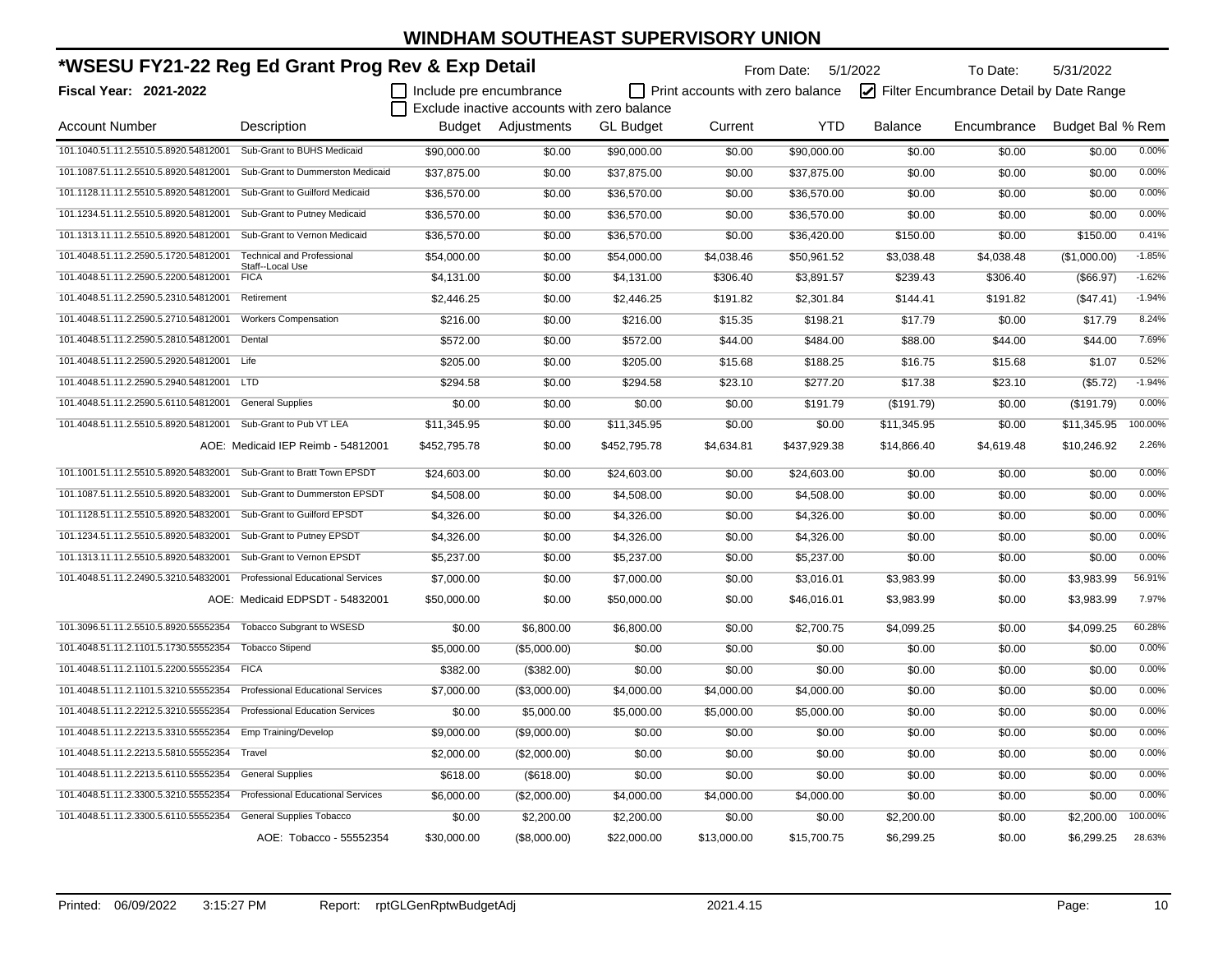| *WSESU FY21-22 Reg Ed Grant Prog Rev & Exp Detail             |                                          |                         |                                             |                  |                                         | From Date: 5/1/2022 |                | To Date:                                | 5/31/2022        |          |
|---------------------------------------------------------------|------------------------------------------|-------------------------|---------------------------------------------|------------------|-----------------------------------------|---------------------|----------------|-----------------------------------------|------------------|----------|
| <b>Fiscal Year: 2021-2022</b>                                 |                                          | Include pre encumbrance |                                             |                  | $\Box$ Print accounts with zero balance |                     |                | Filter Encumbrance Detail by Date Range |                  |          |
|                                                               |                                          |                         | Exclude inactive accounts with zero balance |                  |                                         |                     |                |                                         |                  |          |
| <b>Account Number</b>                                         | Description                              |                         | Budget Adjustments                          | <b>GL Budget</b> | Current                                 | <b>YTD</b>          | <b>Balance</b> | Encumbrance                             | Budget Bal % Rem |          |
| 101.1040.51.11.2.5510.5.8920.54812001                         | Sub-Grant to BUHS Medicaid               | \$90,000.00             | \$0.00                                      | \$90,000.00      | \$0.00                                  | \$90,000.00         | \$0.00         | \$0.00                                  | \$0.00           | 0.00%    |
| 101.1087.51.11.2.5510.5.8920.54812001                         | Sub-Grant to Dummerston Medicaid         | \$37,875.00             | \$0.00                                      | \$37,875.00      | \$0.00                                  | \$37,875.00         | \$0.00         | \$0.00                                  | \$0.00           | 0.00%    |
| 101.1128.11.11.2.5510.5.8920.54812001                         | Sub-Grant to Guilford Medicaid           | \$36,570.00             | \$0.00                                      | \$36,570.00      | \$0.00                                  | \$36,570.00         | \$0.00         | \$0.00                                  | \$0.00           | 0.00%    |
| 101.1234.51.11.2.5510.5.8920.54812001                         | Sub-Grant to Putney Medicaid             | \$36,570.00             | \$0.00                                      | \$36,570.00      | \$0.00                                  | \$36,570.00         | \$0.00         | \$0.00                                  | \$0.00           | 0.00%    |
| 101.1313.11.11.2.5510.5.8920.54812001                         | Sub-Grant to Vernon Medicaid             | \$36,570.00             | \$0.00                                      | \$36,570.00      | \$0.00                                  | \$36,420.00         | \$150.00       | \$0.00                                  | \$150.00         | 0.41%    |
| 101.4048.51.11.2.2590.5.1720.54812001                         | <b>Technical and Professional</b>        | \$54,000.00             | \$0.00                                      | \$54,000.00      | \$4,038.46                              | \$50,961.52         | \$3,038.48     | \$4,038.48                              | (\$1,000.00)     | $-1.85%$ |
| 101.4048.51.11.2.2590.5.2200.54812001                         | Staff--Local Use<br><b>FICA</b>          | \$4,131.00              | \$0.00                                      | \$4,131.00       | \$306.40                                | \$3,891.57          | \$239.43       | \$306.40                                | ( \$66.97)       | $-1.62%$ |
| 101.4048.51.11.2.2590.5.2310.54812001                         | Retirement                               | \$2,446.25              | \$0.00                                      | \$2,446.25       | \$191.82                                | \$2,301.84          | \$144.41       | \$191.82                                | (\$47.41)        | $-1.94%$ |
| 101.4048.51.11.2.2590.5.2710.54812001                         | <b>Workers Compensation</b>              | \$216.00                | \$0.00                                      | \$216.00         | \$15.35                                 | \$198.21            | \$17.79        | \$0.00                                  | \$17.79          | 8.24%    |
| 101.4048.51.11.2.2590.5.2810.54812001                         | Dental                                   | \$572.00                | \$0.00                                      | \$572.00         | \$44.00                                 | \$484.00            | \$88.00        | \$44.00                                 | \$44.00          | 7.69%    |
| 101.4048.51.11.2.2590.5.2920.54812001 Life                    |                                          | \$205.00                | \$0.00                                      | \$205.00         | \$15.68                                 | \$188.25            | \$16.75        | \$15.68                                 | \$1.07           | 0.52%    |
| 101.4048.51.11.2.2590.5.2940.54812001 LTD                     |                                          | \$294.58                | \$0.00                                      | \$294.58         | \$23.10                                 | \$277.20            | \$17.38        | \$23.10                                 | (\$5.72)         | $-1.94%$ |
| 101.4048.51.11.2.2590.5.6110.54812001                         | <b>General Supplies</b>                  | \$0.00                  | \$0.00                                      | \$0.00           | \$0.00                                  | \$191.79            | (\$191.79)     | \$0.00                                  | (\$191.79)       | 0.00%    |
| 101.4048.51.11.2.5510.5.8920.54812001 Sub-Grant to Pub VT LEA |                                          | \$11,345.95             | \$0.00                                      | \$11,345.95      | \$0.00                                  | \$0.00              | \$11,345.95    | \$0.00                                  | \$11,345.95      | 100.00%  |
|                                                               | AOE: Medicaid IEP Reimb - 54812001       | \$452,795.78            | \$0.00                                      | \$452,795.78     | \$4,634.81                              | \$437,929.38        | \$14,866.40    | \$4,619.48                              | \$10,246.92      | 2.26%    |
| 101.1001.51.11.2.5510.5.8920.54832001                         | Sub-Grant to Bratt Town EPSDT            | \$24,603.00             | \$0.00                                      | \$24,603.00      | \$0.00                                  | \$24,603.00         | \$0.00         | \$0.00                                  | \$0.00           | 0.00%    |
| 101.1087.51.11.2.5510.5.8920.54832001                         | Sub-Grant to Dummerston EPSDT            | \$4,508.00              | \$0.00                                      | \$4,508.00       | \$0.00                                  | \$4,508.00          | \$0.00         | \$0.00                                  | \$0.00           | 0.00%    |
| 101.1128.51.11.2.5510.5.8920.54832001                         | Sub-Grant to Guilford EPSDT              | \$4,326.00              | \$0.00                                      | \$4,326.00       | \$0.00                                  | \$4,326.00          | \$0.00         | \$0.00                                  | \$0.00           | 0.00%    |
| 101.1234.51.11.2.5510.5.8920.54832001                         | Sub-Grant to Putney EPSDT                | \$4,326.00              | \$0.00                                      | \$4,326.00       | \$0.00                                  | \$4,326.00          | \$0.00         | \$0.00                                  | \$0.00           | 0.00%    |
| 101.1313.11.11.2.5510.5.8920.54832001                         | Sub-Grant to Vernon EPSDT                | \$5,237.00              | \$0.00                                      | \$5,237.00       | \$0.00                                  | \$5,237.00          | \$0.00         | \$0.00                                  | \$0.00           | 0.00%    |
| 101.4048.51.11.2.2490.5.3210.54832001                         | <b>Professional Educational Services</b> | \$7,000.00              | \$0.00                                      | \$7,000.00       | \$0.00                                  | \$3,016.01          | \$3,983.99     | \$0.00                                  | \$3,983.99       | 56.91%   |
|                                                               | AOE: Medicaid EDPSDT - 54832001          | \$50,000.00             | \$0.00                                      | \$50,000.00      | \$0.00                                  | \$46,016.01         | \$3,983.99     | \$0.00                                  | \$3,983.99       | 7.97%    |
| 101.3096.51.11.2.5510.5.8920.55552354                         | <b>Tobacco Subgrant to WSESD</b>         | \$0.00                  | \$6,800.00                                  | \$6,800.00       | \$0.00                                  | \$2,700.75          | \$4,099.25     | \$0.00                                  | \$4,099.25       | 60.28%   |
| 101.4048.51.11.2.1101.5.1730.55552354                         | <b>Tobacco Stipend</b>                   | \$5,000.00              | (\$5,000.00)                                | \$0.00           | \$0.00                                  | \$0.00              | \$0.00         | \$0.00                                  | \$0.00           | 0.00%    |
| 101.4048.51.11.2.1101.5.2200.55552354 FICA                    |                                          | \$382.00                | (\$382.00)                                  | \$0.00           | \$0.00                                  | \$0.00              | \$0.00         | \$0.00                                  | \$0.00           | 0.00%    |
| 101.4048.51.11.2.1101.5.3210.55552354                         | <b>Professional Educational Services</b> | \$7,000.00              | (\$3,000.00)                                | \$4,000.00       | \$4,000.00                              | \$4,000.00          | \$0.00         | \$0.00                                  | \$0.00           | 0.00%    |
| 101.4048.51.11.2.2212.5.3210.55552354                         | <b>Professional Education Services</b>   | \$0.00                  | \$5,000.00                                  | \$5,000.00       | \$5,000.00                              | \$5,000.00          | \$0.00         | \$0.00                                  | \$0.00           | 0.00%    |
| 101.4048.51.11.2.2213.5.3310.55552354                         | <b>Emp Training/Develop</b>              | \$9,000.00              | (\$9,000.00)                                | \$0.00           | \$0.00                                  | \$0.00              | \$0.00         | \$0.00                                  | \$0.00           | 0.00%    |
| 101.4048.51.11.2.2213.5.5810.55552354                         | Travel                                   | \$2,000.00              | (\$2,000.00)                                | \$0.00           | \$0.00                                  | \$0.00              | \$0.00         | \$0.00                                  | \$0.00           | 0.00%    |
| 101.4048.51.11.2.2213.5.6110.55552354                         | <b>General Supplies</b>                  | \$618.00                | (\$618.00)                                  | \$0.00           | \$0.00                                  | \$0.00              | \$0.00         | \$0.00                                  | \$0.00           | 0.00%    |
| 101.4048.51.11.2.3300.5.3210.55552354                         | <b>Professional Educational Services</b> | \$6,000.00              | (\$2,000.00)                                | \$4,000.00       | \$4,000.00                              | \$4,000.00          | \$0.00         | \$0.00                                  | \$0.00           | 0.00%    |
| 101.4048.51.11.2.3300.5.6110.55552354                         | <b>General Supplies Tobacco</b>          | \$0.00                  | \$2,200.00                                  | \$2,200.00       | \$0.00                                  | \$0.00              | \$2,200.00     | \$0.00                                  | \$2,200.00       | 100.00%  |
|                                                               | AOE: Tobacco - 55552354                  | \$30,000.00             | (\$8,000.00)                                | \$22,000.00      | \$13,000.00                             | \$15,700.75         | \$6,299.25     | \$0.00                                  | \$6,299.25       | 28.63%   |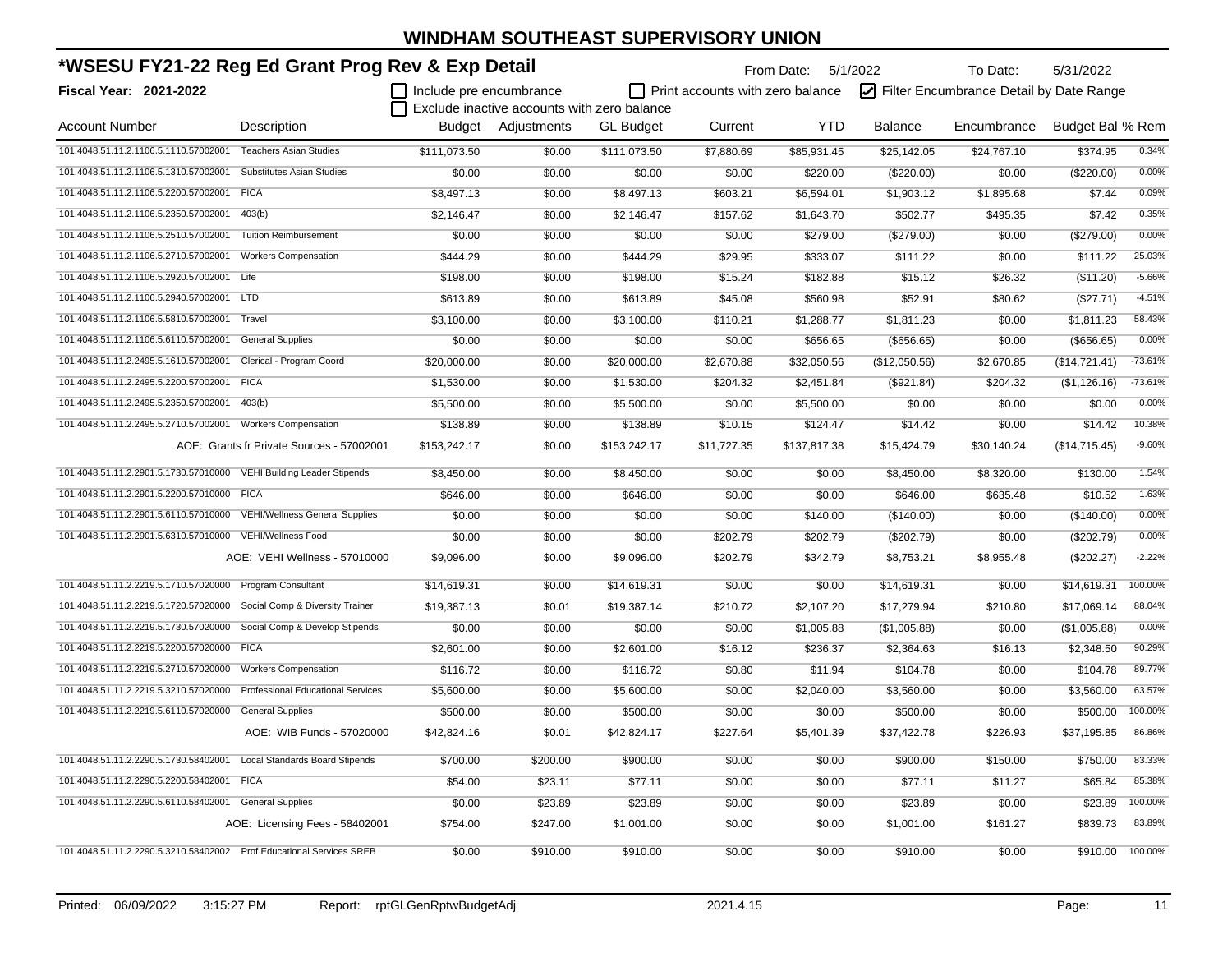| *WSESU FY21-22 Reg Ed Grant Prog Rev & Exp Detail                     |                                           |                         |                                             |                  | From Date: 5/1/2022              |              | To Date:       | 5/31/2022                               |                  |           |
|-----------------------------------------------------------------------|-------------------------------------------|-------------------------|---------------------------------------------|------------------|----------------------------------|--------------|----------------|-----------------------------------------|------------------|-----------|
| Fiscal Year: 2021-2022                                                |                                           | Include pre encumbrance |                                             |                  | Print accounts with zero balance |              |                | Filter Encumbrance Detail by Date Range |                  |           |
|                                                                       |                                           |                         | Exclude inactive accounts with zero balance |                  |                                  |              |                |                                         |                  |           |
| <b>Account Number</b>                                                 | Description                               |                         | Budget Adjustments                          | <b>GL</b> Budget | Current                          | <b>YTD</b>   | <b>Balance</b> | Encumbrance                             | Budget Bal % Rem |           |
| 101.4048.51.11.2.1106.5.1110.57002001                                 | <b>Teachers Asian Studies</b>             | \$111,073.50            | \$0.00                                      | \$111,073.50     | \$7,880.69                       | \$85,931.45  | \$25,142.05    | \$24,767.10                             | \$374.95         | 0.34%     |
| 101.4048.51.11.2.1106.5.1310.57002001                                 | <b>Substitutes Asian Studies</b>          | \$0.00                  | \$0.00                                      | \$0.00           | \$0.00                           | \$220.00     | (\$220.00)     | \$0.00                                  | (\$220.00)       | 0.00%     |
| 101.4048.51.11.2.1106.5.2200.57002001                                 | <b>FICA</b>                               | \$8,497.13              | \$0.00                                      | \$8,497.13       | \$603.21                         | \$6,594.01   | \$1,903.12     | \$1,895.68                              | \$7.44           | 0.09%     |
| 101.4048.51.11.2.1106.5.2350.57002001                                 | 403(b)                                    | \$2,146.47              | \$0.00                                      | \$2,146.47       | \$157.62                         | \$1,643.70   | \$502.77       | \$495.35                                | \$7.42           | 0.35%     |
| 101.4048.51.11.2.1106.5.2510.57002001                                 | <b>Tuition Reimbursement</b>              | \$0.00                  | \$0.00                                      | \$0.00           | \$0.00                           | \$279.00     | (\$279.00)     | \$0.00                                  | (\$279.00)       | 0.00%     |
| 101.4048.51.11.2.1106.5.2710.57002001                                 | <b>Workers Compensation</b>               | \$444.29                | \$0.00                                      | \$444.29         | \$29.95                          | \$333.07     | \$111.22       | \$0.00                                  | \$111.22         | 25.03%    |
| 101.4048.51.11.2.1106.5.2920.57002001 Life                            |                                           | \$198.00                | \$0.00                                      | \$198.00         | \$15.24                          | \$182.88     | \$15.12        | \$26.32                                 | (\$11.20)        | $-5.66%$  |
| 101.4048.51.11.2.1106.5.2940.57002001 LTD                             |                                           | \$613.89                | \$0.00                                      | \$613.89         | \$45.08                          | \$560.98     | \$52.91        | \$80.62                                 | (\$27.71)        | $-4.51%$  |
| 101.4048.51.11.2.1106.5.5810.57002001                                 | Travel                                    | \$3,100.00              | \$0.00                                      | \$3,100.00       | \$110.21                         | \$1,288.77   | \$1,811.23     | \$0.00                                  | \$1,811.23       | 58.43%    |
| 101.4048.51.11.2.1106.5.6110.57002001                                 | <b>General Supplies</b>                   | \$0.00                  | \$0.00                                      | \$0.00           | \$0.00                           | \$656.65     | (\$656.65)     | \$0.00                                  | $($ \$656.65)    | 0.00%     |
| 101.4048.51.11.2.2495.5.1610.57002001                                 | Clerical - Program Coord                  | \$20,000.00             | \$0.00                                      | \$20,000.00      | \$2,670.88                       | \$32,050.56  | (\$12,050.56)  | \$2,670.85                              | (\$14,721.41)    | $-73.61%$ |
| 101.4048.51.11.2.2495.5.2200.57002001                                 | <b>FICA</b>                               | \$1,530.00              | \$0.00                                      | \$1,530.00       | \$204.32                         | \$2,451.84   | (\$921.84)     | \$204.32                                | (\$1,126.16)     | $-73.61%$ |
| 101.4048.51.11.2.2495.5.2350.57002001                                 | 403(b)                                    | \$5,500.00              | \$0.00                                      | \$5,500.00       | \$0.00                           | \$5,500.00   | \$0.00         | \$0.00                                  | \$0.00           | 0.00%     |
| 101.4048.51.11.2.2495.5.2710.57002001                                 | <b>Workers Compensation</b>               | \$138.89                | \$0.00                                      | \$138.89         | \$10.15                          | \$124.47     | \$14.42        | \$0.00                                  | \$14.42          | 10.38%    |
|                                                                       | AOE: Grants fr Private Sources - 57002001 | \$153,242.17            | \$0.00                                      | \$153,242.17     | \$11,727.35                      | \$137,817.38 | \$15,424.79    | \$30,140.24                             | (\$14,715.45)    | $-9.60%$  |
| 101.4048.51.11.2.2901.5.1730.57010000                                 | <b>VEHI Building Leader Stipends</b>      | \$8,450.00              | \$0.00                                      | \$8,450.00       | \$0.00                           | \$0.00       | \$8,450.00     | \$8,320.00                              | \$130.00         | 1.54%     |
| 101.4048.51.11.2.2901.5.2200.57010000 FICA                            |                                           | \$646.00                | \$0.00                                      | \$646.00         | \$0.00                           | \$0.00       | \$646.00       | \$635.48                                | \$10.52          | 1.63%     |
| 101.4048.51.11.2.2901.5.6110.57010000 VEHI/Wellness General Supplies  |                                           | \$0.00                  | \$0.00                                      | \$0.00           | \$0.00                           | \$140.00     | (\$140.00)     | \$0.00                                  | (\$140.00)       | 0.00%     |
| 101.4048.51.11.2.2901.5.6310.57010000 VEHI/Wellness Food              |                                           | \$0.00                  | \$0.00                                      | \$0.00           | \$202.79                         | \$202.79     | (\$202.79)     | \$0.00                                  | (\$202.79)       | 0.00%     |
|                                                                       | AOE: VEHI Wellness - 57010000             | \$9,096.00              | \$0.00                                      | \$9,096.00       | \$202.79                         | \$342.79     | \$8,753.21     | \$8,955.48                              | (\$202.27)       | $-2.22%$  |
| 101.4048.51.11.2.2219.5.1710.57020000 Program Consultant              |                                           | \$14,619.31             | \$0.00                                      | \$14,619.31      | \$0.00                           | \$0.00       | \$14,619.31    | \$0.00                                  | \$14,619.31      | 100.00%   |
| 101.4048.51.11.2.2219.5.1720.57020000 Social Comp & Diversity Trainer |                                           | \$19,387.13             | \$0.01                                      | \$19,387.14      | \$210.72                         | \$2,107.20   | \$17,279.94    | \$210.80                                | \$17,069.14      | 88.04%    |
| 101.4048.51.11.2.2219.5.1730.57020000                                 | Social Comp & Develop Stipends            | \$0.00                  | \$0.00                                      | \$0.00           | \$0.00                           | \$1,005.88   | (\$1,005.88)   | \$0.00                                  | (\$1,005.88)     | 0.00%     |
| 101.4048.51.11.2.2219.5.2200.57020000                                 | <b>FICA</b>                               | \$2,601.00              | \$0.00                                      | \$2,601.00       | \$16.12                          | \$236.37     | \$2,364.63     | \$16.13                                 | \$2,348.50       | 90.29%    |
| 101.4048.51.11.2.2219.5.2710.57020000                                 | <b>Workers Compensation</b>               | \$116.72                | \$0.00                                      | \$116.72         | \$0.80                           | \$11.94      | \$104.78       | \$0.00                                  | \$104.78         | 89.77%    |
| 101.4048.51.11.2.2219.5.3210.57020000                                 | <b>Professional Educational Services</b>  | \$5,600.00              | \$0.00                                      | \$5,600.00       | \$0.00                           | \$2,040.00   | \$3,560.00     | \$0.00                                  | \$3,560.00       | 63.57%    |
| 101.4048.51.11.2.2219.5.6110.57020000                                 | <b>General Supplies</b>                   | \$500.00                | \$0.00                                      | \$500.00         | \$0.00                           | \$0.00       | \$500.00       | \$0.00                                  | \$500.00         | 100.00%   |
|                                                                       | AOE: WIB Funds - 57020000                 | \$42,824.16             | \$0.01                                      | \$42,824.17      | \$227.64                         | \$5,401.39   | \$37,422.78    | \$226.93                                | \$37,195.85      | 86.86%    |
| 101.4048.51.11.2.2290.5.1730.58402001                                 | Local Standards Board Stipends            | \$700.00                | \$200.00                                    | \$900.00         | \$0.00                           | \$0.00       | \$900.00       | \$150.00                                | \$750.00         | 83.33%    |
| 101.4048.51.11.2.2290.5.2200.58402001                                 | <b>FICA</b>                               | \$54.00                 | \$23.11                                     | \$77.11          | \$0.00                           | \$0.00       | \$77.11        | \$11.27                                 | \$65.84          | 85.38%    |
| 101.4048.51.11.2.2290.5.6110.58402001 General Supplies                |                                           | \$0.00                  | \$23.89                                     | \$23.89          | \$0.00                           | \$0.00       | \$23.89        | \$0.00                                  | \$23.89          | 100.00%   |
|                                                                       | AOE: Licensing Fees - 58402001            | \$754.00                | \$247.00                                    | \$1,001.00       | \$0.00                           | \$0.00       | \$1,001.00     | \$161.27                                | \$839.73         | 83.89%    |
| 101.4048.51.11.2.2290.5.3210.58402002  Prof Educational Services SREB |                                           | \$0.00                  | \$910.00                                    | \$910.00         | \$0.00                           | \$0.00       | \$910.00       | \$0.00                                  | \$910.00         | 100.00%   |